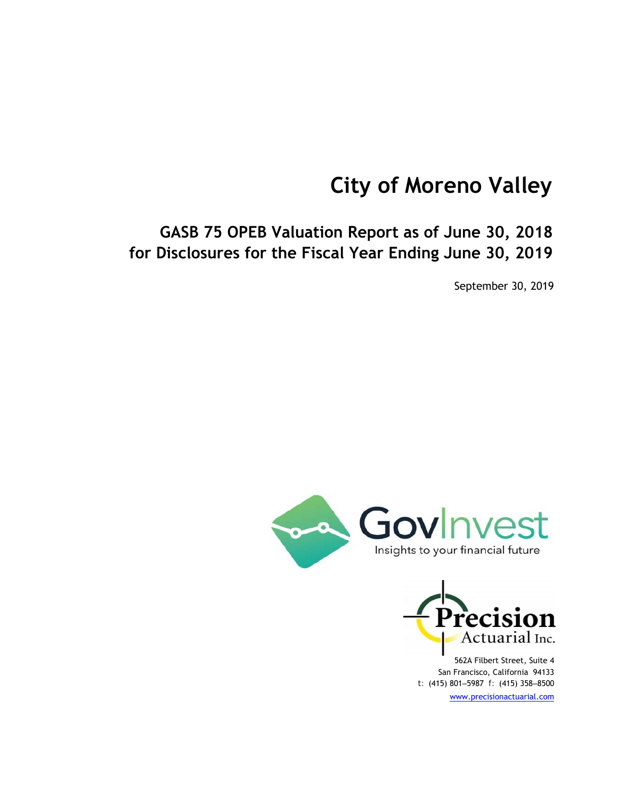# **City of Moreno Valley**

**GASB 75 OPEB Valuation Report as of June 30, 2018 for Disclosures for the Fiscal Year Ending June 30, 2019**

September 30, 2019





562A Filbert Street, Suite 4 San Francisco, California 94133 *t:* (415) 801‒5987 *f:* (415) 358‒8500 www.precisionactuarial.com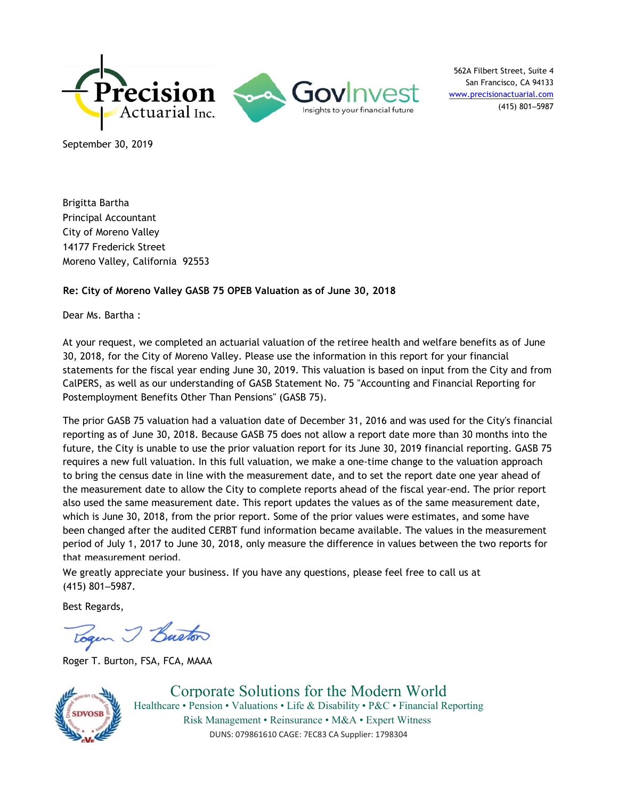

562A Filbert Street, Suite 4 San Francisco, CA 94133 www.precisionactuarial.com (415) 801‒5987

September 30, 2019

Brigitta Bartha Principal Accountant City of Moreno Valley 14177 Frederick Street Moreno Valley, California 92553

#### **Re: City of Moreno Valley GASB 75 OPEB Valuation as of June 30, 2018**

Dear Ms. Bartha :

At your request, we completed an actuarial valuation of the retiree health and welfare benefits as of June 30, 2018, for the City of Moreno Valley. Please use the information in this report for your financial statements for the fiscal year ending June 30, 2019. This valuation is based on input from the City and from CalPERS, as well as our understanding of GASB Statement No. 75 "Accounting and Financial Reporting for Postemployment Benefits Other Than Pensions" (GASB 75).

The prior GASB 75 valuation had a valuation date of December 31, 2016 and was used for the City's financial reporting as of June 30, 2018. Because GASB 75 does not allow a report date more than 30 months into the future, the City is unable to use the prior valuation report for its June 30, 2019 financial reporting. GASB 75 requires a new full valuation. In this full valuation, we make a one-time change to the valuation approach to bring the census date in line with the measurement date, and to set the report date one year ahead of the measurement date to allow the City to complete reports ahead of the fiscal year-end. The prior report also used the same measurement date. This report updates the values as of the same measurement date, which is June 30, 2018, from the prior report. Some of the prior values were estimates, and some have been changed after the audited CERBT fund information became available. The values in the measurement period of July 1, 2017 to June 30, 2018, only measure the difference in values between the two reports for that measurement period.

We greatly appreciate your business. If you have any questions, please feel free to call us at (415) 801‒5987.

Best Regards,

Togen I Buston

Roger T. Burton, FSA, FCA, MAAA



Corporate Solutions for the Modern World Healthcare • Pension • Valuations • Life & Disability • P&C • Financial Reporting Risk Management • Reinsurance • M&A • Expert Witness DUNS: 079861610 CAGE: 7EC83 CA Supplier: 1798304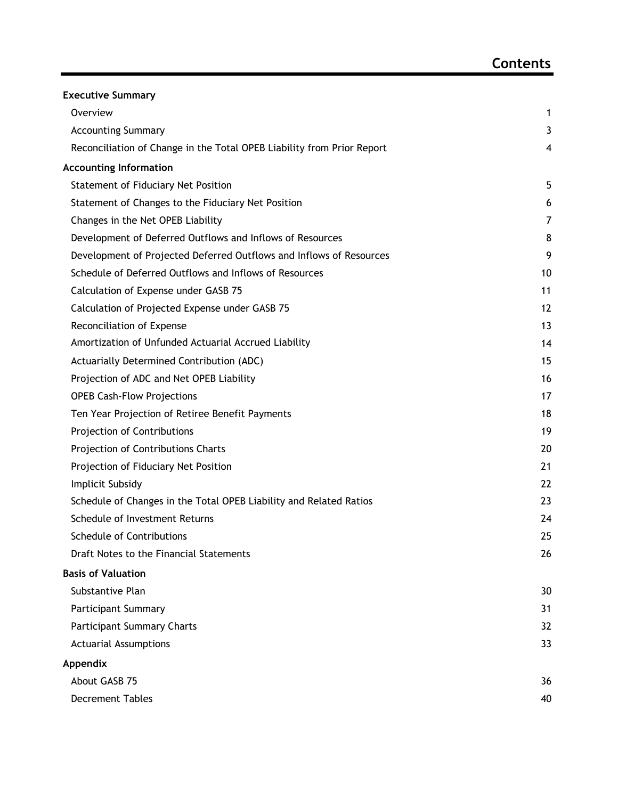| <b>Executive Summary</b>                                               |    |
|------------------------------------------------------------------------|----|
| Overview                                                               | 1  |
| <b>Accounting Summary</b>                                              | 3  |
| Reconciliation of Change in the Total OPEB Liability from Prior Report | 4  |
| <b>Accounting Information</b>                                          |    |
| Statement of Fiduciary Net Position                                    | 5  |
| Statement of Changes to the Fiduciary Net Position                     | 6  |
| Changes in the Net OPEB Liability                                      | 7  |
| Development of Deferred Outflows and Inflows of Resources              | 8  |
| Development of Projected Deferred Outflows and Inflows of Resources    | 9  |
| Schedule of Deferred Outflows and Inflows of Resources                 | 10 |
| Calculation of Expense under GASB 75                                   | 11 |
| Calculation of Projected Expense under GASB 75                         | 12 |
| Reconciliation of Expense                                              | 13 |
| Amortization of Unfunded Actuarial Accrued Liability                   | 14 |
| Actuarially Determined Contribution (ADC)                              | 15 |
| Projection of ADC and Net OPEB Liability                               | 16 |
| <b>OPEB Cash-Flow Projections</b>                                      | 17 |
| Ten Year Projection of Retiree Benefit Payments                        | 18 |
| Projection of Contributions                                            | 19 |
| Projection of Contributions Charts                                     | 20 |
| Projection of Fiduciary Net Position                                   | 21 |
| Implicit Subsidy                                                       | 22 |
| Schedule of Changes in the Total OPEB Liability and Related Ratios     | 23 |
| Schedule of Investment Returns                                         | 24 |
| Schedule of Contributions                                              | 25 |
| Draft Notes to the Financial Statements                                | 26 |
| <b>Basis of Valuation</b>                                              |    |
| Substantive Plan                                                       | 30 |
| <b>Participant Summary</b>                                             | 31 |
| <b>Participant Summary Charts</b>                                      | 32 |
| <b>Actuarial Assumptions</b>                                           | 33 |
| Appendix                                                               |    |
| About GASB 75                                                          | 36 |
| <b>Decrement Tables</b>                                                | 40 |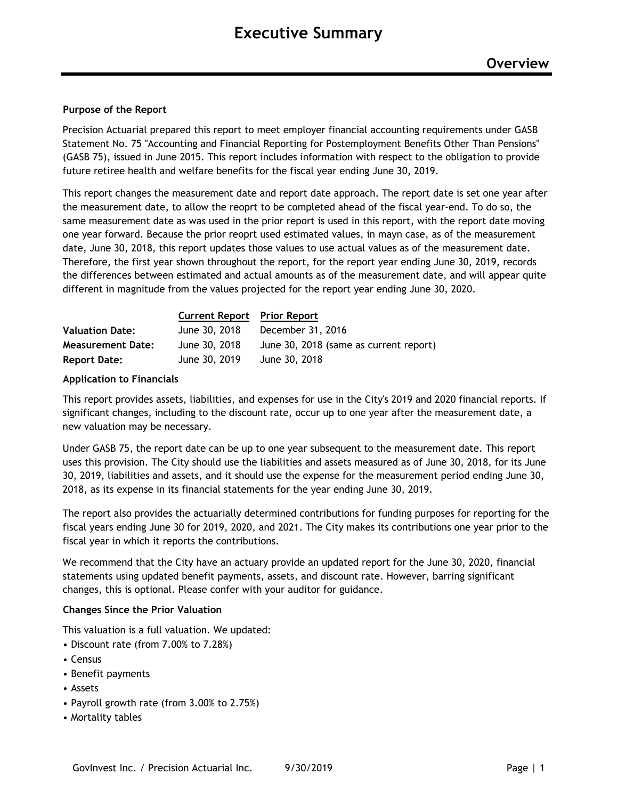#### **Purpose of the Report**

Precision Actuarial prepared this report to meet employer financial accounting requirements under GASB Statement No. 75 "Accounting and Financial Reporting for Postemployment Benefits Other Than Pensions" (GASB 75), issued in June 2015. This report includes information with respect to the obligation to provide future retiree health and welfare benefits for the fiscal year ending June 30, 2019.

This report changes the measurement date and report date approach. The report date is set one year after the measurement date, to allow the reoprt to be completed ahead of the fiscal year-end. To do so, the same measurement date as was used in the prior report is used in this report, with the report date moving one year forward. Because the prior reoprt used estimated values, in mayn case, as of the measurement date, June 30, 2018, this report updates those values to use actual values as of the measurement date. Therefore, the first year shown throughout the report, for the report year ending June 30, 2019, records the differences between estimated and actual amounts as of the measurement date, and will appear quite different in magnitude from the values projected for the report year ending June 30, 2020.

|                          | <b>Current Report</b> Prior Report |                                        |
|--------------------------|------------------------------------|----------------------------------------|
| <b>Valuation Date:</b>   | June 30, 2018                      | December 31, 2016                      |
| <b>Measurement Date:</b> | June 30, 2018                      | June 30, 2018 (same as current report) |
| <b>Report Date:</b>      | June 30, 2019                      | June 30, 2018                          |

#### **Application to Financials**

This report provides assets, liabilities, and expenses for use in the City's 2019 and 2020 financial reports. If significant changes, including to the discount rate, occur up to one year after the measurement date, a new valuation may be necessary.

Under GASB 75, the report date can be up to one year subsequent to the measurement date. This report uses this provision. The City should use the liabilities and assets measured as of June 30, 2018, for its June 30, 2019, liabilities and assets, and it should use the expense for the measurement period ending June 30, 2018, as its expense in its financial statements for the year ending June 30, 2019.

The report also provides the actuarially determined contributions for funding purposes for reporting for the fiscal years ending June 30 for 2019, 2020, and 2021. The City makes its contributions one year prior to the fiscal year in which it reports the contributions.

We recommend that the City have an actuary provide an updated report for the June 30, 2020, financial statements using updated benefit payments, assets, and discount rate. However, barring significant changes, this is optional. Please confer with your auditor for guidance.

#### **Changes Since the Prior Valuation**

This valuation is a full valuation. We updated:

- Discount rate (from 7.00% to 7.28%)
- Census
- Benefit payments
- Assets
- Payroll growth rate (from 3.00% to 2.75%)
- Mortality tables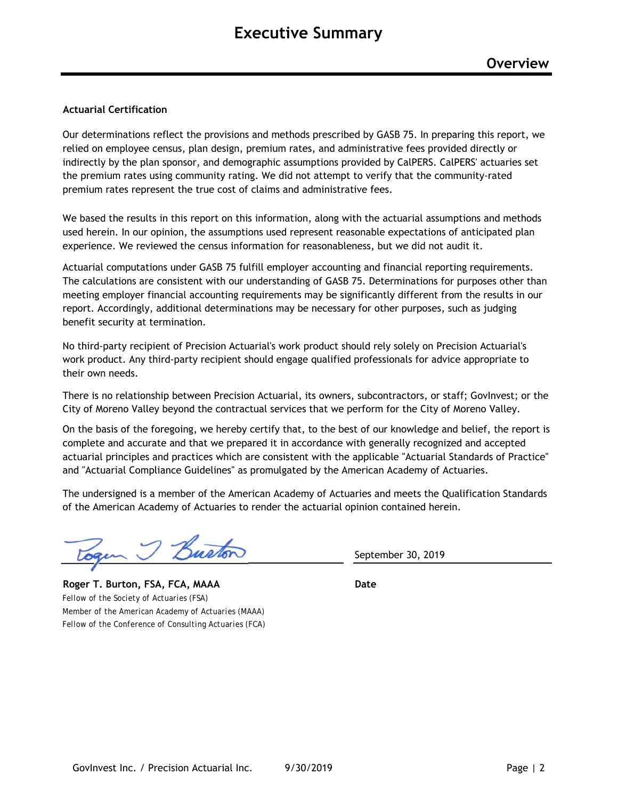#### **Actuarial Certification**

Our determinations reflect the provisions and methods prescribed by GASB 75. In preparing this report, we relied on employee census, plan design, premium rates, and administrative fees provided directly or indirectly by the plan sponsor, and demographic assumptions provided by CalPERS. CalPERS' actuaries set the premium rates using community rating. We did not attempt to verify that the community-rated premium rates represent the true cost of claims and administrative fees.

We based the results in this report on this information, along with the actuarial assumptions and methods used herein. In our opinion, the assumptions used represent reasonable expectations of anticipated plan experience. We reviewed the census information for reasonableness, but we did not audit it.

Actuarial computations under GASB 75 fulfill employer accounting and financial reporting requirements. The calculations are consistent with our understanding of GASB 75. Determinations for purposes other than meeting employer financial accounting requirements may be significantly different from the results in our report. Accordingly, additional determinations may be necessary for other purposes, such as judging benefit security at termination.

No third-party recipient of Precision Actuarial's work product should rely solely on Precision Actuarial's work product. Any third-party recipient should engage qualified professionals for advice appropriate to their own needs.

There is no relationship between Precision Actuarial, its owners, subcontractors, or staff; GovInvest; or the City of Moreno Valley beyond the contractual services that we perform for the City of Moreno Valley.

On the basis of the foregoing, we hereby certify that, to the best of our knowledge and belief, the report is complete and accurate and that we prepared it in accordance with generally recognized and accepted actuarial principles and practices which are consistent with the applicable "Actuarial Standards of Practice" and "Actuarial Compliance Guidelines" as promulgated by the American Academy of Actuaries.

The undersigned is a member of the American Academy of Actuaries and meets the Qualification Standards of the American Academy of Actuaries to render the actuarial opinion contained herein.

J Busto

**Roger T. Burton, FSA, FCA, MAAA Date** *Fellow of the Society of Actuaries (FSA) Member of the American Academy of Actuaries (MAAA) Fellow of the Conference of Consulting Actuaries (FCA)*

September 30, 2019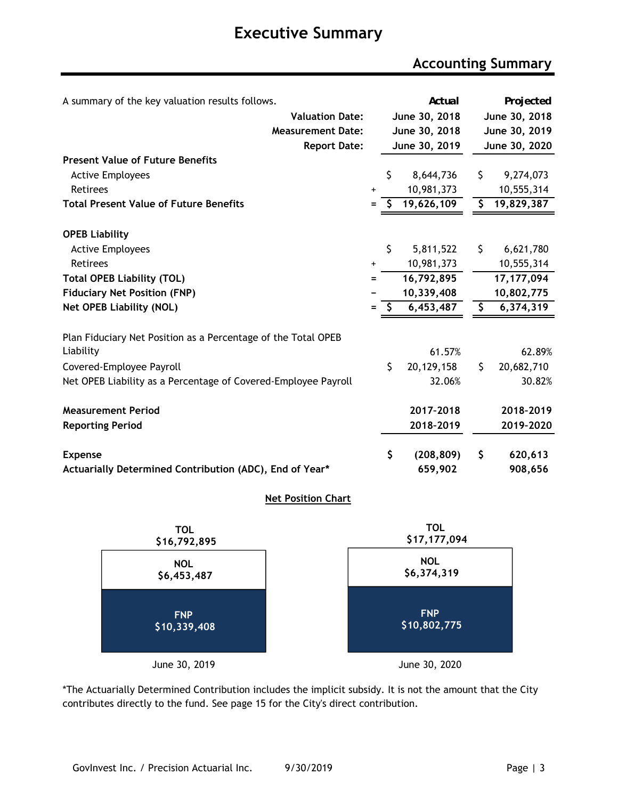### **Accounting Summary**

| A summary of the key valuation results follows.                |           |      | Actual        | Projected        |
|----------------------------------------------------------------|-----------|------|---------------|------------------|
| <b>Valuation Date:</b>                                         |           |      | June 30, 2018 | June 30, 2018    |
| <b>Measurement Date:</b>                                       |           |      | June 30, 2018 | June 30, 2019    |
| <b>Report Date:</b>                                            |           |      | June 30, 2019 | June 30, 2020    |
| <b>Present Value of Future Benefits</b>                        |           |      |               |                  |
| <b>Active Employees</b>                                        |           | \$   | 8,644,736     | \$<br>9,274,073  |
| <b>Retirees</b>                                                | +         |      | 10,981,373    | 10,555,314       |
| <b>Total Present Value of Future Benefits</b>                  | Ξ         |      | 19,626,109    | \$<br>19,829,387 |
| <b>OPEB Liability</b>                                          |           |      |               |                  |
| <b>Active Employees</b>                                        |           | \$   | 5,811,522     | \$<br>6,621,780  |
| <b>Retirees</b>                                                | $\ddot{}$ |      | 10,981,373    | 10,555,314       |
| <b>Total OPEB Liability (TOL)</b>                              | Ξ         |      | 16,792,895    | 17, 177, 094     |
| <b>Fiduciary Net Position (FNP)</b>                            |           |      | 10,339,408    | 10,802,775       |
| <b>Net OPEB Liability (NOL)</b>                                | $=$       | - \$ | 6,453,487     | \$<br>6,374,319  |
| Plan Fiduciary Net Position as a Percentage of the Total OPEB  |           |      |               |                  |
| Liability                                                      |           |      | 61.57%        | 62.89%           |
| Covered-Employee Payroll                                       |           | \$   | 20,129,158    | \$<br>20,682,710 |
| Net OPEB Liability as a Percentage of Covered-Employee Payroll |           |      | 32.06%        | 30.82%           |
| <b>Measurement Period</b>                                      |           |      | 2017-2018     | 2018-2019        |
| <b>Reporting Period</b>                                        |           |      | 2018-2019     | 2019-2020        |
| <b>Expense</b>                                                 |           | \$   | (208, 809)    | \$<br>620,613    |
| Actuarially Determined Contribution (ADC), End of Year*        |           |      | 659,902       | 908,656          |

#### **Net Position Chart**



\*The Actuarially Determined Contribution includes the implicit subsidy. It is not the amount that the City contributes directly to the fund. See page 15 for the City's direct contribution.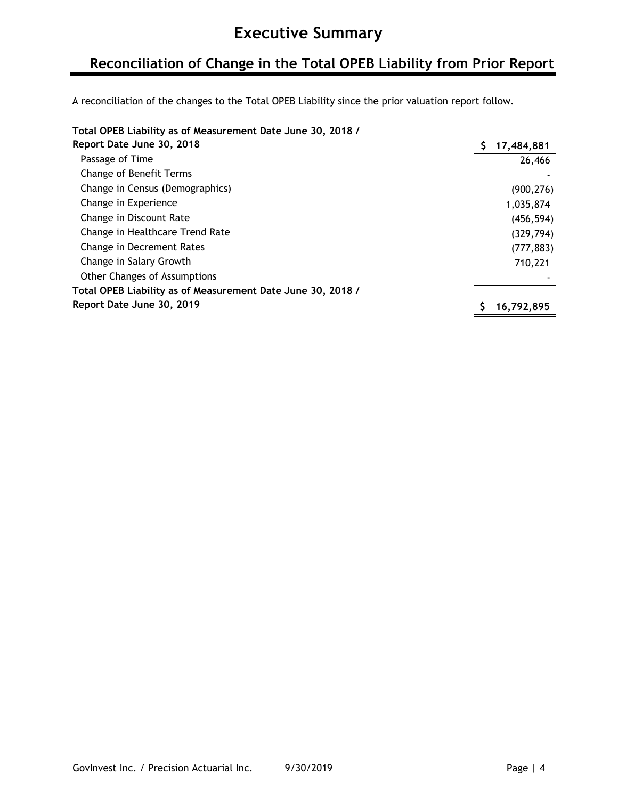### **Reconciliation of Change in the Total OPEB Liability from Prior Report**

A reconciliation of the changes to the Total OPEB Liability since the prior valuation report follow.

### **Total OPEB Liability as of Measurement Date June 30, 2018 /**

| Report Date June 30, 2018                                   | 17,484,881 |
|-------------------------------------------------------------|------------|
| Passage of Time                                             | 26,466     |
| Change of Benefit Terms                                     |            |
| Change in Census (Demographics)                             | (900, 276) |
| Change in Experience                                        | 1,035,874  |
| Change in Discount Rate                                     | (456, 594) |
| Change in Healthcare Trend Rate                             | (329, 794) |
| Change in Decrement Rates                                   | (777, 883) |
| Change in Salary Growth                                     | 710,221    |
| <b>Other Changes of Assumptions</b>                         |            |
| Total OPEB Liability as of Measurement Date June 30, 2018 / |            |
| Report Date June 30, 2019                                   | 16,792,895 |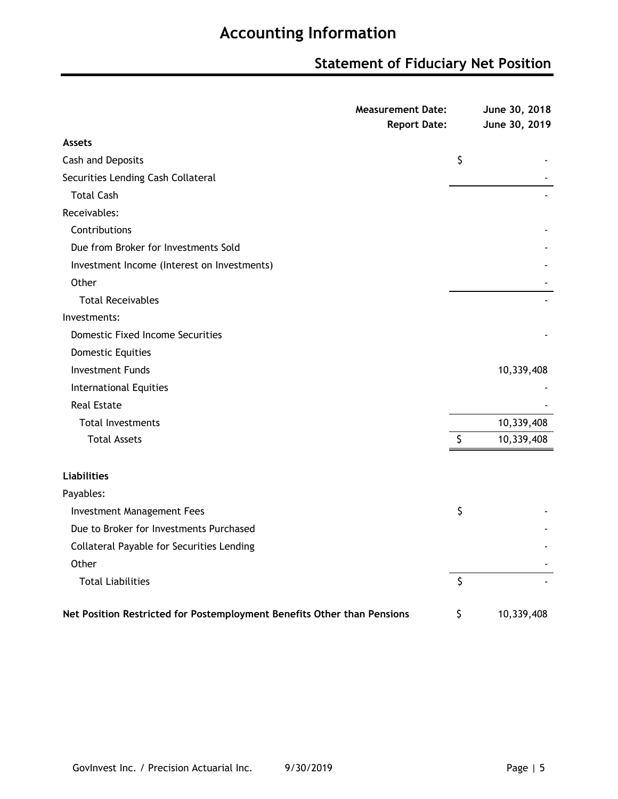## **Statement of Fiduciary Net Position**

|                                                                         | <b>Measurement Date:</b><br><b>Report Date:</b> |         | June 30, 2018<br>June 30, 2019 |
|-------------------------------------------------------------------------|-------------------------------------------------|---------|--------------------------------|
| <b>Assets</b>                                                           |                                                 |         |                                |
| Cash and Deposits                                                       |                                                 | \$      |                                |
| Securities Lending Cash Collateral                                      |                                                 |         |                                |
| <b>Total Cash</b>                                                       |                                                 |         |                                |
| Receivables:                                                            |                                                 |         |                                |
| Contributions                                                           |                                                 |         |                                |
| Due from Broker for Investments Sold                                    |                                                 |         |                                |
| Investment Income (Interest on Investments)                             |                                                 |         |                                |
| Other                                                                   |                                                 |         |                                |
| <b>Total Receivables</b>                                                |                                                 |         |                                |
| Investments:                                                            |                                                 |         |                                |
| <b>Domestic Fixed Income Securities</b>                                 |                                                 |         |                                |
| <b>Domestic Equities</b>                                                |                                                 |         |                                |
| <b>Investment Funds</b>                                                 |                                                 |         | 10,339,408                     |
| <b>International Equities</b>                                           |                                                 |         |                                |
| <b>Real Estate</b>                                                      |                                                 |         |                                |
| <b>Total Investments</b>                                                |                                                 |         | 10,339,408                     |
| <b>Total Assets</b>                                                     |                                                 | \$      | 10,339,408                     |
| <b>Liabilities</b>                                                      |                                                 |         |                                |
| Payables:                                                               |                                                 |         |                                |
| <b>Investment Management Fees</b>                                       |                                                 | \$      |                                |
| Due to Broker for Investments Purchased                                 |                                                 |         |                                |
| Collateral Payable for Securities Lending                               |                                                 |         |                                |
| Other                                                                   |                                                 |         |                                |
| <b>Total Liabilities</b>                                                |                                                 | $\zeta$ |                                |
| Net Position Restricted for Postemployment Benefits Other than Pensions |                                                 | \$      | 10,339,408                     |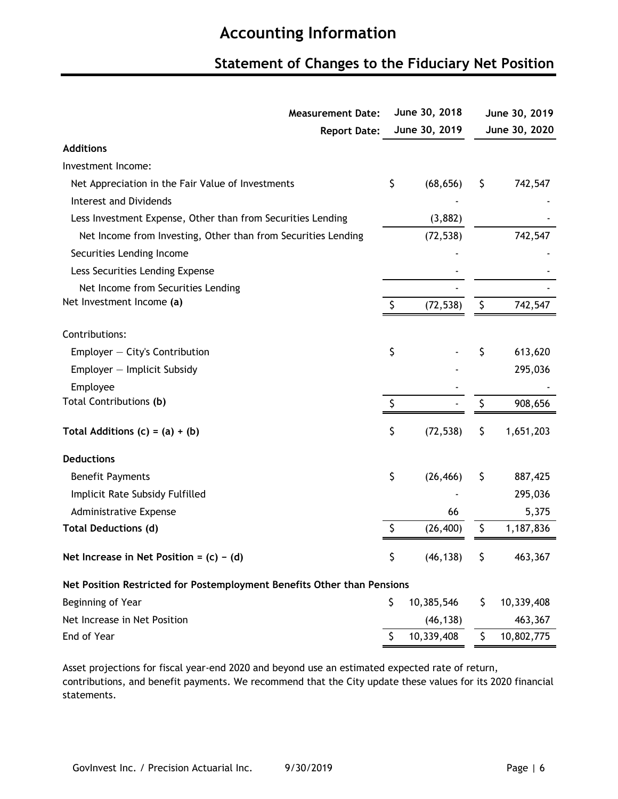### **Statement of Changes to the Fiduciary Net Position**

| <b>Measurement Date:</b>                                                |    | June 30, 2018 | June 30, 2019 |               |  |
|-------------------------------------------------------------------------|----|---------------|---------------|---------------|--|
| <b>Report Date:</b>                                                     |    | June 30, 2019 |               | June 30, 2020 |  |
| <b>Additions</b>                                                        |    |               |               |               |  |
| Investment Income:                                                      |    |               |               |               |  |
| Net Appreciation in the Fair Value of Investments                       | \$ | (68, 656)     | \$            | 742,547       |  |
| <b>Interest and Dividends</b>                                           |    |               |               |               |  |
| Less Investment Expense, Other than from Securities Lending             |    | (3,882)       |               |               |  |
| Net Income from Investing, Other than from Securities Lending           |    | (72, 538)     |               | 742,547       |  |
| Securities Lending Income                                               |    |               |               |               |  |
| Less Securities Lending Expense                                         |    |               |               |               |  |
| Net Income from Securities Lending                                      |    |               |               |               |  |
| Net Investment Income (a)                                               | Ş  | (72, 538)     | \$            | 742,547       |  |
|                                                                         |    |               |               |               |  |
| Contributions:                                                          |    |               |               |               |  |
| Employer $-$ City's Contribution                                        | \$ |               | \$            | 613,620       |  |
| Employer - Implicit Subsidy                                             |    |               |               | 295,036       |  |
| Employee                                                                |    |               |               |               |  |
| Total Contributions (b)                                                 |    |               |               | 908,656       |  |
| Total Additions $(c) = (a) + (b)$                                       | \$ | (72, 538)     | \$            | 1,651,203     |  |
| <b>Deductions</b>                                                       |    |               |               |               |  |
| <b>Benefit Payments</b>                                                 | \$ | (26, 466)     | \$            | 887,425       |  |
| Implicit Rate Subsidy Fulfilled                                         |    |               |               | 295,036       |  |
| Administrative Expense                                                  |    | 66            |               | 5,375         |  |
| <b>Total Deductions (d)</b>                                             | \$ | (26, 400)     | \$            | 1,187,836     |  |
| Net Increase in Net Position = $(c) - (d)$                              |    | (46, 138)     | $\sqrt{5}$    | 463,367       |  |
| Net Position Restricted for Postemployment Benefits Other than Pensions |    |               |               |               |  |
| Beginning of Year                                                       | \$ | 10,385,546    | \$            | 10,339,408    |  |
| Net Increase in Net Position                                            |    | (46, 138)     |               | 463,367       |  |
| End of Year                                                             | \$ | 10,339,408    | \$            | 10,802,775    |  |
|                                                                         |    |               |               |               |  |

Asset projections for fiscal year-end 2020 and beyond use an estimated expected rate of return, contributions, and benefit payments. We recommend that the City update these values for its 2020 financial statements.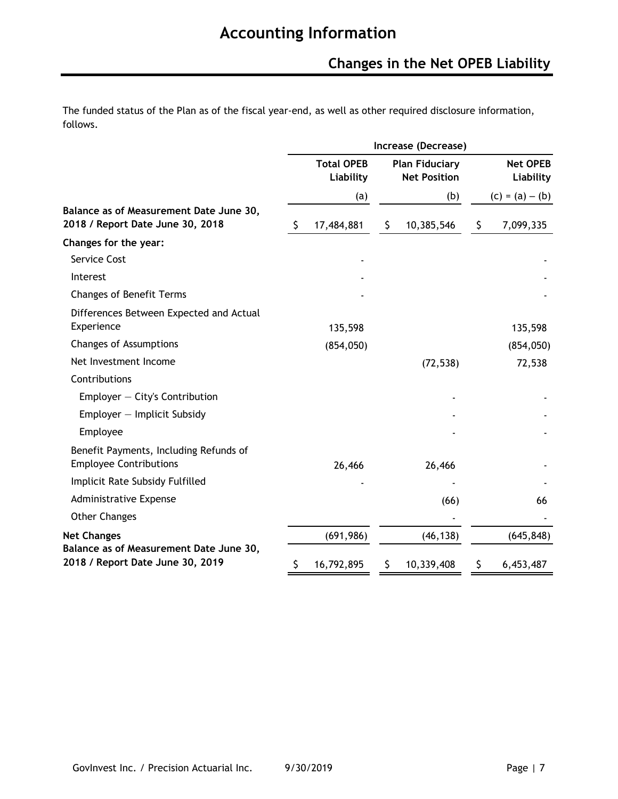The funded status of the Plan as of the fiscal year-end, as well as other required disclosure information, follows.

|                                                                             | Increase (Decrease) |                                |    |                                              |    |                              |  |  |  |  |  |
|-----------------------------------------------------------------------------|---------------------|--------------------------------|----|----------------------------------------------|----|------------------------------|--|--|--|--|--|
|                                                                             |                     | <b>Total OPEB</b><br>Liability |    | <b>Plan Fiduciary</b><br><b>Net Position</b> |    | <b>Net OPEB</b><br>Liability |  |  |  |  |  |
|                                                                             |                     | (a)                            |    | (b)                                          |    | $(c) = (a) - (b)$            |  |  |  |  |  |
| Balance as of Measurement Date June 30,<br>2018 / Report Date June 30, 2018 | \$                  | 17,484,881                     | \$ | 10,385,546                                   | \$ | 7,099,335                    |  |  |  |  |  |
| Changes for the year:                                                       |                     |                                |    |                                              |    |                              |  |  |  |  |  |
| Service Cost                                                                |                     |                                |    |                                              |    |                              |  |  |  |  |  |
| Interest                                                                    |                     |                                |    |                                              |    |                              |  |  |  |  |  |
| <b>Changes of Benefit Terms</b>                                             |                     |                                |    |                                              |    |                              |  |  |  |  |  |
| Differences Between Expected and Actual<br>Experience                       |                     | 135,598                        |    |                                              |    | 135,598                      |  |  |  |  |  |
| <b>Changes of Assumptions</b>                                               |                     | (854, 050)                     |    |                                              |    | (854,050)                    |  |  |  |  |  |
| Net Investment Income                                                       |                     |                                |    | (72, 538)                                    |    | 72,538                       |  |  |  |  |  |
| Contributions                                                               |                     |                                |    |                                              |    |                              |  |  |  |  |  |
| Employer $-$ City's Contribution                                            |                     |                                |    |                                              |    |                              |  |  |  |  |  |
| Employer - Implicit Subsidy                                                 |                     |                                |    |                                              |    |                              |  |  |  |  |  |
| Employee                                                                    |                     |                                |    |                                              |    |                              |  |  |  |  |  |
| Benefit Payments, Including Refunds of<br><b>Employee Contributions</b>     |                     | 26,466                         |    | 26,466                                       |    |                              |  |  |  |  |  |
| Implicit Rate Subsidy Fulfilled                                             |                     |                                |    |                                              |    |                              |  |  |  |  |  |
| Administrative Expense                                                      |                     |                                |    | (66)                                         |    | 66                           |  |  |  |  |  |
| <b>Other Changes</b>                                                        |                     |                                |    |                                              |    |                              |  |  |  |  |  |
| <b>Net Changes</b>                                                          |                     | (691, 986)                     |    | (46, 138)                                    |    | (645, 848)                   |  |  |  |  |  |
| Balance as of Measurement Date June 30,<br>2018 / Report Date June 30, 2019 | Ş                   | 16,792,895                     |    | 10,339,408                                   | Ş  | 6,453,487                    |  |  |  |  |  |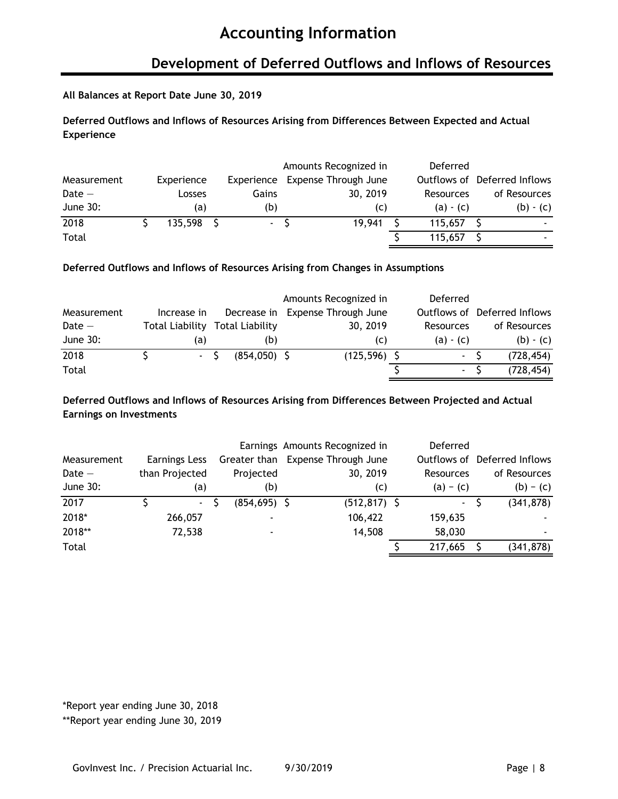### **Development of Deferred Outflows and Inflows of Resources**

#### **All Balances at Report Date June 30, 2019**

### **Deferred Outflows and Inflows of Resources Arising from Differences Between Expected and Actual Experience**

|             |            |            | Amounts Recognized in | Deferred    |                              |
|-------------|------------|------------|-----------------------|-------------|------------------------------|
| Measurement | Experience | Experience | Expense Through June  |             | Outflows of Deferred Inflows |
| $Date -$    | Losses     | Gains      | 30, 2019              | Resources   | of Resources                 |
| June 30:    | (a)        | (b)        | (C)                   | $(a) - (c)$ | $(b) - (c)$                  |
| 2018        | 135,598    | $\sim$     | 19.941                | 115,657     | $\overline{\phantom{a}}$     |
| Total       |            |            |                       | 115,657     | $\overline{\phantom{a}}$     |

#### **Deferred Outflows and Inflows of Resources Arising from Changes in Assumptions**

|             |                 |                 | Amounts Recognized in | Deferred    |                              |
|-------------|-----------------|-----------------|-----------------------|-------------|------------------------------|
| Measurement | Increase in     | Decrease in     | Expense Through June  |             | Outflows of Deferred Inflows |
| Date $-$    | Total Liability | Total Liability | 30, 2019              | Resources   | of Resources                 |
| June 30:    | (a)             | (b)             | (C)                   | $(a) - (c)$ | $(b) - (c)$                  |
| 2018        | $-S$            | $(854,050)$ \$  | $(125, 596)$ \$       | $\sim$      | (728, 454)                   |
| Total       |                 |                 |                       |             | (728, 454)                   |

### **Deferred Outflows and Inflows of Resources Arising from Differences Between Projected and Actual Earnings on Investments**

|             |                |                 | Earnings Amounts Recognized in | Deferred       |                              |
|-------------|----------------|-----------------|--------------------------------|----------------|------------------------------|
| Measurement | Earnings Less  | Greater than    | Expense Through June           |                | Outflows of Deferred Inflows |
| $Date -$    | than Projected | Projected       | 30, 2019                       | Resources      | of Resources                 |
| June 30:    | (a)            | (b)             | (c)                            | $(a) - (c)$    | $(b) - (c)$                  |
| 2017        | $\sim$         | $(854, 695)$ \$ | $(512, 817)$ \$                | $\blacksquare$ | (341, 878)                   |
| 2018*       | 266,057        |                 | 106,422                        | 159,635        |                              |
| 2018**      | 72,538         |                 | 14,508                         | 58,030         | ٠                            |
| Total       |                |                 |                                | 217,665        | (341, 878)                   |

\*Report year ending June 30, 2018

\*\*Report year ending June 30, 2019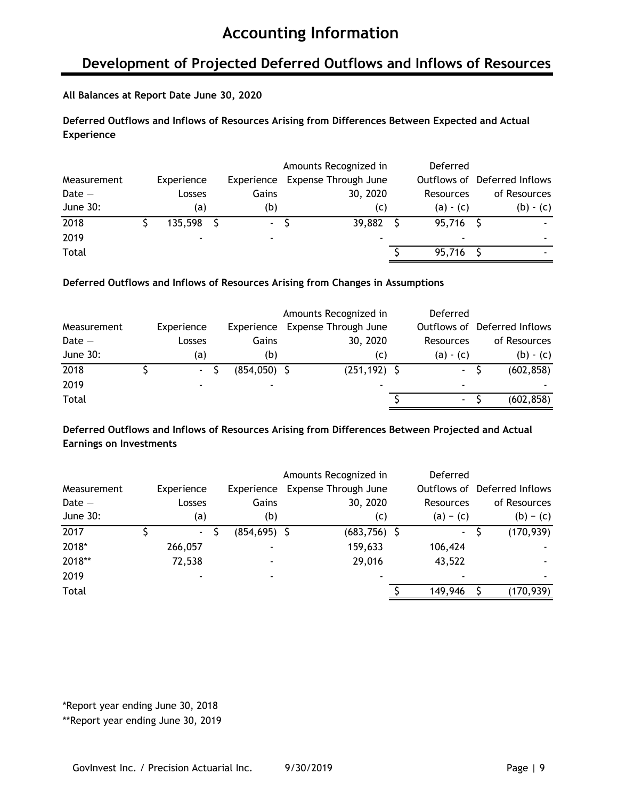### **Development of Projected Deferred Outflows and Inflows of Resources**

#### **All Balances at Report Date June 30, 2020**

### **Deferred Outflows and Inflows of Resources Arising from Differences Between Expected and Actual Experience**

|             |            |            | Amounts Recognized in    | Deferred    |                              |
|-------------|------------|------------|--------------------------|-------------|------------------------------|
| Measurement | Experience | Experience | Expense Through June     |             | Outflows of Deferred Inflows |
| Date $-$    | Losses     | Gains      | 30, 2020                 | Resources   | of Resources                 |
| June 30:    | (a)        | (b)        | (C)                      | $(a) - (c)$ | $(b) - (c)$                  |
| 2018        | 135,598    | $\sim$     | 39,882                   | 95,716 \$   | ٠                            |
| 2019        |            |            | $\overline{\phantom{0}}$ |             |                              |
| Total       |            |            |                          | 95,716      |                              |

#### **Deferred Outflows and Inflows of Resources Arising from Changes in Assumptions**

|              |                          |                | Amounts Recognized in | Deferred    |                              |
|--------------|--------------------------|----------------|-----------------------|-------------|------------------------------|
| Measurement  | Experience               | Experience     | Expense Through June  |             | Outflows of Deferred Inflows |
| Date $-$     | Losses                   | Gains          | 30, 2020              | Resources   | of Resources                 |
| June 30:     | (a)                      | (b)            | (C)                   | $(a) - (c)$ | $(b) - (c)$                  |
| 2018         | $\sim$ $-$               | $(854,050)$ \$ | $(251, 192)$ \$       | $\sim$      | (602, 858)                   |
| 2019         | $\overline{\phantom{0}}$ |                | ٠                     | ۰           |                              |
| <b>Total</b> |                          |                |                       | ۰.          | (602, 858)                   |

### **Deferred Outflows and Inflows of Resources Arising from Differences Between Projected and Actual Earnings on Investments**

|             |            |                 | Amounts Recognized in | Deferred    |                              |
|-------------|------------|-----------------|-----------------------|-------------|------------------------------|
| Measurement | Experience | Experience      | Expense Through June  |             | Outflows of Deferred Inflows |
| $Date -$    | Losses     | Gains           | 30, 2020              | Resources   | of Resources                 |
| June 30:    | (a)        | (b)             | (c)                   | $(a) - (c)$ | $(b) - (c)$                  |
| 2017        | $\sim$     | $(854, 695)$ \$ | $(683,756)$ \$        | $\sim$      | (170, 939)                   |
| 2018*       | 266,057    |                 | 159,633               | 106,424     |                              |
| 2018**      | 72,538     |                 | 29,016                | 43,522      |                              |
| 2019        |            |                 | ٠                     |             | ٠                            |
| Total       |            |                 |                       | 149,946     | (170, 939)                   |

\*Report year ending June 30, 2018

\*\*Report year ending June 30, 2019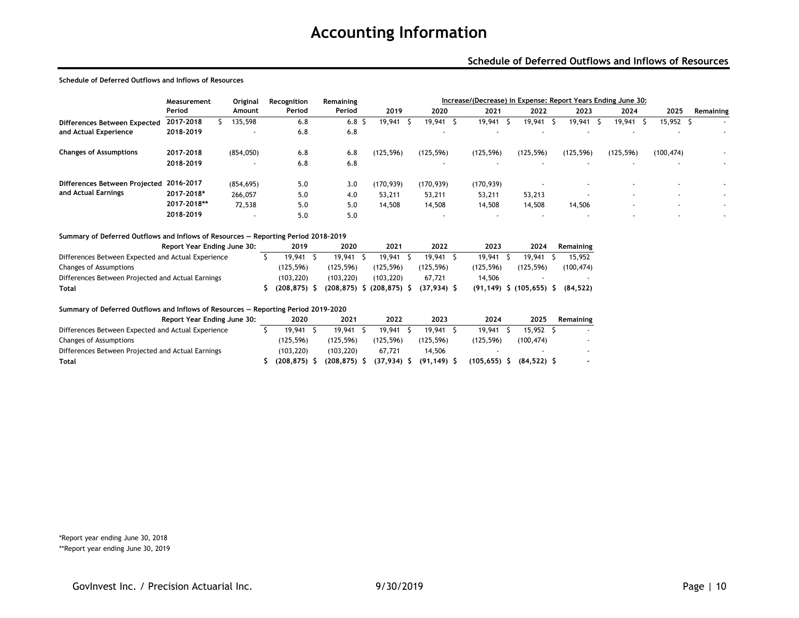#### **Schedule of Deferred Outflows and Inflows of Resources**

#### **Schedule of Deferred Outflows and Inflows of Resources**

|                                         | Measurement | Original                 | Recognition | Remaining |            | Increase/(Decrease) in Expense: Report Years Ending June 30: |                          |                          |            |            |                          |                          |  |  |  |
|-----------------------------------------|-------------|--------------------------|-------------|-----------|------------|--------------------------------------------------------------|--------------------------|--------------------------|------------|------------|--------------------------|--------------------------|--|--|--|
|                                         | Period      | Amount                   | Period      | Period    | 2019       | 2020                                                         | 2021                     | 2022                     | 2023       | 2024       | 2025                     | Remaining                |  |  |  |
| Differences Between Expected            | 2017-2018   | 135,598                  | 6.8         | 6.8       | 19,941     | 19,941                                                       | 19,941                   | 19,941                   | 19.941     | 19,941     | 15,952                   | $\overline{\phantom{a}}$ |  |  |  |
| and Actual Experience                   | 2018-2019   | $\overline{\phantom{a}}$ | 6.8         | 6.8       |            | $\overline{\phantom{a}}$                                     | $\overline{\phantom{a}}$ | $\overline{\phantom{0}}$ |            | $\sim$     | $\sim$                   |                          |  |  |  |
| <b>Changes of Assumptions</b>           | 2017-2018   | (854,050)                | 6.8         | 6.8       | (125, 596) | (125, 596)                                                   | (125, 596)               | (125, 596)               | (125, 596) | (125, 596) | (100, 474)               | $\overline{\phantom{a}}$ |  |  |  |
|                                         | 2018-2019   | $\overline{\phantom{a}}$ | 6.8         | 6.8       |            | $\overline{\phantom{a}}$                                     | $\overline{\phantom{a}}$ | $\overline{\phantom{a}}$ |            |            |                          |                          |  |  |  |
| Differences Between Projected 2016-2017 |             | (854, 695)               | 5.0         | 3.0       | (170, 939) | (170, 939)                                                   | (170, 939)               |                          |            |            | $\overline{\phantom{0}}$ |                          |  |  |  |
| and Actual Earnings                     | 2017-2018*  | 266,057                  | 5.0         | 4.0       | 53,211     | 53,211                                                       | 53,211                   | 53,213                   |            |            | $\overline{\phantom{0}}$ | $\overline{\phantom{a}}$ |  |  |  |
|                                         | 2017-2018** | 72,538                   | 5.0         | 5.0       | 14,508     | 14,508                                                       | 14,508                   | 14,508                   | 14,506     |            | $\sim$                   | $\overline{\phantom{a}}$ |  |  |  |
|                                         | 2018-2019   | $\sim$                   | 5.0         | 5.0       |            | $\overline{\phantom{0}}$                                     | $\overline{\phantom{a}}$ | $\overline{\phantom{0}}$ |            |            |                          |                          |  |  |  |

#### **Summary of Deferred Outflows and Inflows of Resources — Reporting Period 2018–2019**

|                                                    | Report Year Ending June 30: |  | 2019           |  | 2020                            |  | 2021       |  | 2022      | 2023      |  | 2024                        | Remaining |
|----------------------------------------------------|-----------------------------|--|----------------|--|---------------------------------|--|------------|--|-----------|-----------|--|-----------------------------|-----------|
| Differences Between Expected and Actual Experience |                             |  | 19.941         |  | 19.941                          |  | 19.941     |  | 19.941    | 19,941    |  | 19.941                      | 15,952    |
| Changes of Assumptions                             |                             |  | (125.596)      |  | (125.596)                       |  | (125.596)  |  | (125.596) | (125.596) |  | (125.596)                   | (100,474) |
| Differences Between Projected and Actual Earnings  |                             |  | (103, 220)     |  | (103.220)                       |  | (103, 220) |  | 67.721    | 14.506    |  |                             |           |
| Total                                              |                             |  | $(208.875)$ \$ |  | $(208, 875)$ \$ $(208, 875)$ \$ |  |            |  | (37,934)  |           |  | $(91, 149)$ \$ $(105, 655)$ | (84.522)  |

#### **Summary of Deferred Outflows and Inflows of Resources — Reporting Period 2019–2020**

| Report Year Ending June 30:                        | 2020           |  | 2021            |  | 2022          | 2023           | 2024            | 2025 | Remaining    |                          |
|----------------------------------------------------|----------------|--|-----------------|--|---------------|----------------|-----------------|------|--------------|--------------------------|
| Differences Between Expected and Actual Experience | 19.941         |  | 19.941          |  | 19.941        | 19.941         | 19.941          |      | 15.952       | $\overline{\phantom{a}}$ |
| Changes of Assumptions                             | (125.596)      |  | (125.596)       |  | (125.596)     | (125.596)      | (125.596)       |      | (100.474)    |                          |
| Differences Between Projected and Actual Earnings  | (103, 220)     |  | (103.220)       |  | 67.721        | 14.506         |                 |      |              |                          |
| Total                                              | $(208.875)$ \$ |  | $(208, 875)$ \$ |  | $(37,934)$ \$ | $(91, 149)$ \$ | $(105, 655)$ \$ |      | $(84.522)$ S |                          |

\*Report year ending June 30, 2018 \*\*Report year ending June 30, 2019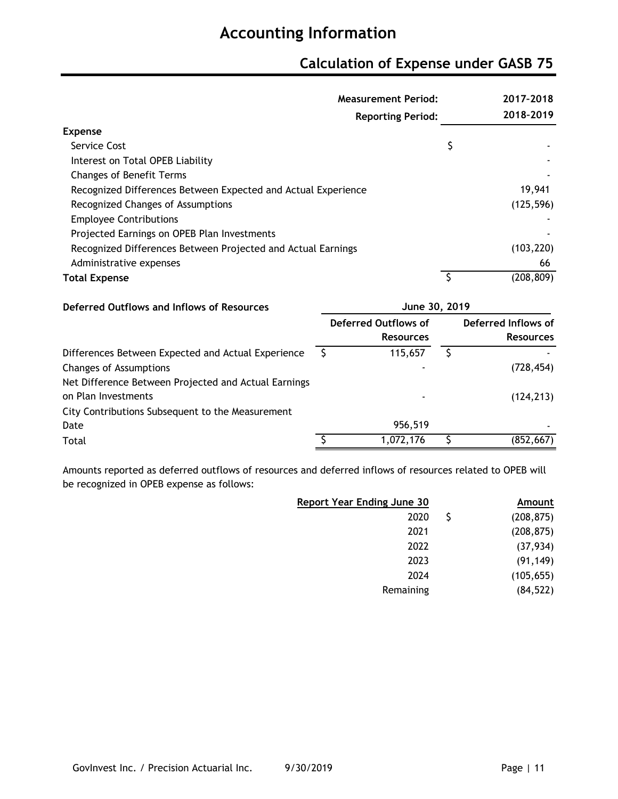## **Calculation of Expense under GASB 75**

| <b>Measurement Period:</b>                                    |                          | 2017-2018  |
|---------------------------------------------------------------|--------------------------|------------|
|                                                               | <b>Reporting Period:</b> | 2018-2019  |
| <b>Expense</b>                                                |                          |            |
| Service Cost                                                  | Ş                        |            |
| Interest on Total OPEB Liability                              |                          |            |
| <b>Changes of Benefit Terms</b>                               |                          |            |
| Recognized Differences Between Expected and Actual Experience |                          | 19,941     |
| Recognized Changes of Assumptions                             |                          | (125, 596) |
| <b>Employee Contributions</b>                                 |                          |            |
| Projected Earnings on OPEB Plan Investments                   |                          |            |
| Recognized Differences Between Projected and Actual Earnings  |                          | (103, 220) |
| Administrative expenses                                       |                          | 66         |
| <b>Total Expense</b>                                          | ς                        | (208, 809) |
| Deferred Outflows and Inflows of Becourses                    | 1.1.002202010            |            |

| Deferred Outflows and Inflows of Resources           | June 30, 2019                            |                                         |
|------------------------------------------------------|------------------------------------------|-----------------------------------------|
|                                                      | Deferred Outflows of<br><b>Resources</b> | Deferred Inflows of<br><b>Resources</b> |
| Differences Between Expected and Actual Experience   | 115,657                                  |                                         |
| Changes of Assumptions                               |                                          | (728, 454)                              |
| Net Difference Between Projected and Actual Earnings |                                          |                                         |
| on Plan Investments                                  | $\overline{\phantom{a}}$                 | (124, 213)                              |
| City Contributions Subsequent to the Measurement     |                                          |                                         |
| Date                                                 | 956,519                                  |                                         |
| Total                                                | 1,072,176                                | (852, 667)                              |

Amounts reported as deferred outflows of resources and deferred inflows of resources related to OPEB will be recognized in OPEB expense as follows:

| Amount     |     | <b>Report Year Ending June 30</b> |
|------------|-----|-----------------------------------|
| (208, 875) | \$. | 2020                              |
| (208, 875) |     | 2021                              |
| (37, 934)  |     | 2022                              |
| (91, 149)  |     | 2023                              |
| (105, 655) |     | 2024                              |
| (84, 522)  |     | Remaining                         |
|            |     |                                   |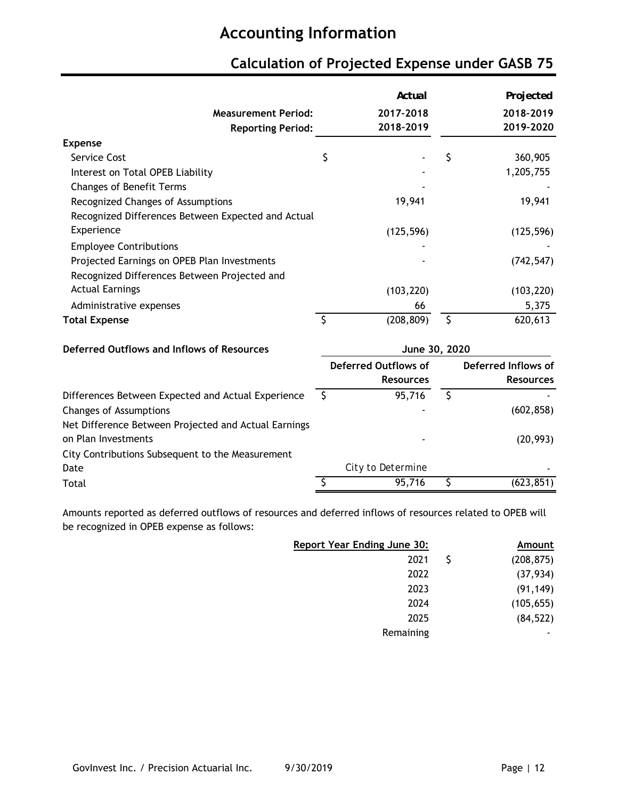|                                                      |                         | Actual                                          |                         | Projected                               |
|------------------------------------------------------|-------------------------|-------------------------------------------------|-------------------------|-----------------------------------------|
| <b>Measurement Period:</b>                           |                         | 2017-2018                                       |                         | 2018-2019                               |
| <b>Reporting Period:</b>                             |                         | 2018-2019                                       |                         | 2019-2020                               |
| <b>Expense</b>                                       |                         |                                                 |                         |                                         |
| Service Cost                                         | \$                      |                                                 | \$                      | 360,905                                 |
| Interest on Total OPEB Liability                     |                         |                                                 |                         | 1,205,755                               |
| <b>Changes of Benefit Terms</b>                      |                         |                                                 |                         |                                         |
| Recognized Changes of Assumptions                    |                         | 19,941                                          |                         | 19,941                                  |
| Recognized Differences Between Expected and Actual   |                         |                                                 |                         |                                         |
| Experience                                           |                         | (125, 596)                                      |                         | (125, 596)                              |
| <b>Employee Contributions</b>                        |                         |                                                 |                         |                                         |
| Projected Earnings on OPEB Plan Investments          |                         |                                                 |                         | (742, 547)                              |
| Recognized Differences Between Projected and         |                         |                                                 |                         |                                         |
| <b>Actual Earnings</b>                               |                         | (103, 220)                                      |                         | (103, 220)                              |
| Administrative expenses                              |                         | 66                                              |                         | 5,375                                   |
| <b>Total Expense</b>                                 | $\overline{\mathsf{S}}$ | (208, 809)                                      | $\overline{\mathsf{S}}$ | 620,613                                 |
| Deferred Outflows and Inflows of Resources           |                         | June 30, 2020                                   |                         |                                         |
|                                                      |                         | <b>Deferred Outflows of</b><br><b>Resources</b> |                         | Deferred Inflows of<br><b>Resources</b> |
| Differences Between Expected and Actual Experience   | S.                      | 95,716                                          | $\mathsf{S}$            |                                         |
| <b>Changes of Assumptions</b>                        |                         |                                                 |                         | (602, 858)                              |
| Net Difference Between Projected and Actual Earnings |                         |                                                 |                         |                                         |
| on Plan Investments                                  |                         |                                                 |                         | (20, 993)                               |
| City Contributions Subsequent to the Measurement     |                         |                                                 |                         |                                         |
| Date                                                 |                         | City to Determine                               |                         |                                         |
| Total                                                |                         | 95,716                                          | \$                      | (623, 851)                              |

## **Calculation of Projected Expense under GASB 75**

Amounts reported as deferred outflows of resources and deferred inflows of resources related to OPEB will be recognized in OPEB expense as follows:

| (208, 875) |
|------------|
| (37, 934)  |
| (91, 149)  |
| (105, 655) |
| (84, 522)  |
|            |
|            |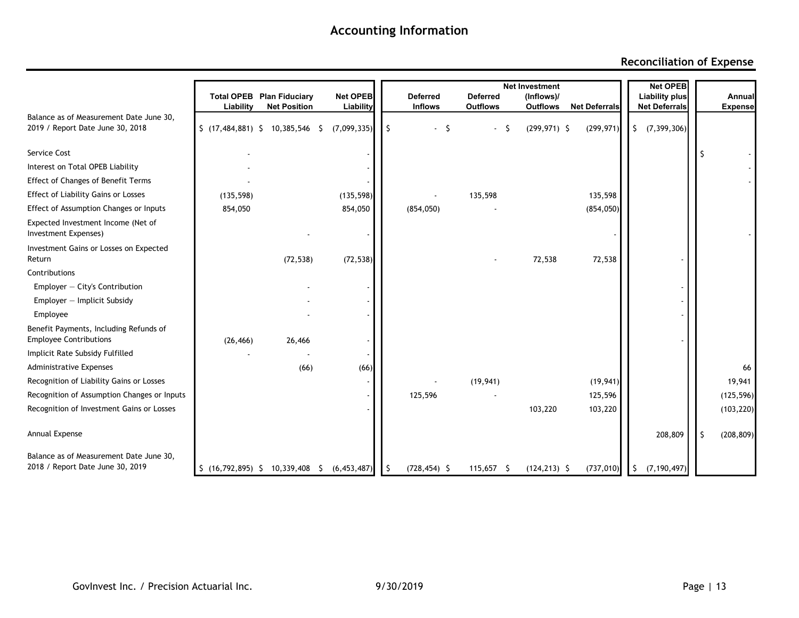### **Reconciliation of Expense**

|                                                                             |            |                                     |                 |     |                 | <b>Net Investment</b> | <b>Net OPEB</b> |                      |                       |   |                |
|-----------------------------------------------------------------------------|------------|-------------------------------------|-----------------|-----|-----------------|-----------------------|-----------------|----------------------|-----------------------|---|----------------|
|                                                                             |            | <b>Total OPEB Plan Fiduciary</b>    | <b>Net OPEB</b> |     | <b>Deferred</b> | <b>Deferred</b>       | (Inflows)/      |                      | <b>Liability plus</b> |   | Annual         |
| Balance as of Measurement Date June 30,                                     | Liability  | <b>Net Position</b>                 | Liability       |     | <b>Inflows</b>  | <b>Outflows</b>       | <b>Outflows</b> | <b>Net Deferrals</b> | <b>Net Deferrals</b>  |   | <b>Expense</b> |
| 2019 / Report Date June 30, 2018                                            |            | $$$ (17,484,881) $$$ 10,385,546 $$$ | (7,099,335)     |     | -S              |                       | $(299, 971)$ \$ | (299, 971)           | (7, 399, 306)<br>\$   |   |                |
| Service Cost                                                                |            |                                     |                 |     |                 |                       |                 |                      |                       |   |                |
| Interest on Total OPEB Liability                                            |            |                                     |                 |     |                 |                       |                 |                      |                       |   |                |
| <b>Effect of Changes of Benefit Terms</b>                                   |            |                                     |                 |     |                 |                       |                 |                      |                       |   |                |
| <b>Effect of Liability Gains or Losses</b>                                  | (135, 598) |                                     | (135, 598)      |     |                 | 135,598               |                 | 135,598              |                       |   |                |
| Effect of Assumption Changes or Inputs                                      | 854,050    |                                     | 854,050         |     | (854, 050)      |                       |                 | (854,050)            |                       |   |                |
| Expected Investment Income (Net of<br>Investment Expenses)                  |            |                                     |                 |     |                 |                       |                 |                      |                       |   |                |
| Investment Gains or Losses on Expected<br>Return                            |            | (72, 538)                           | (72, 538)       |     |                 |                       | 72,538          | 72,538               |                       |   |                |
| Contributions                                                               |            |                                     |                 |     |                 |                       |                 |                      |                       |   |                |
| $Emplayer - City's$ Contribution                                            |            |                                     |                 |     |                 |                       |                 |                      |                       |   |                |
| $Emplayer - Implicit Subsidy$                                               |            |                                     |                 |     |                 |                       |                 |                      |                       |   |                |
| Employee                                                                    |            |                                     |                 |     |                 |                       |                 |                      |                       |   |                |
| Benefit Payments, Including Refunds of<br><b>Employee Contributions</b>     | (26, 466)  | 26,466                              |                 |     |                 |                       |                 |                      |                       |   |                |
| Implicit Rate Subsidy Fulfilled                                             |            |                                     |                 |     |                 |                       |                 |                      |                       |   |                |
| Administrative Expenses                                                     |            | (66)                                | (66)            |     |                 |                       |                 |                      |                       |   | 66             |
| Recognition of Liability Gains or Losses                                    |            |                                     |                 |     |                 | (19, 941)             |                 | (19, 941)            |                       |   | 19,941         |
| Recognition of Assumption Changes or Inputs                                 |            |                                     |                 |     | 125,596         |                       |                 | 125,596              |                       |   | (125, 596)     |
| Recognition of Investment Gains or Losses                                   |            |                                     |                 |     |                 |                       | 103,220         | 103,220              |                       |   | (103, 220)     |
| Annual Expense                                                              |            |                                     |                 |     |                 |                       |                 |                      | 208,809               | S | (208, 809)     |
| Balance as of Measurement Date June 30,<br>2018 / Report Date June 30, 2019 |            | \$(16,792,895) \$10,339,408\$       | (6, 453, 487)   | -\$ | $(728, 454)$ \$ | 115,657 \$            | $(124, 213)$ \$ | (737, 010)           | (7, 190, 497)<br>-\$  |   |                |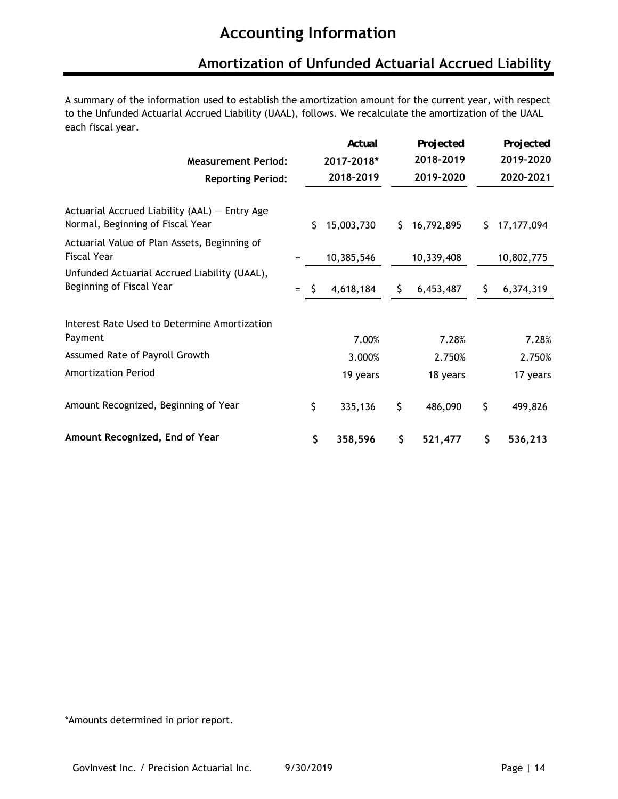### **Amortization of Unfunded Actuarial Accrued Liability**

A summary of the information used to establish the amortization amount for the current year, with respect to the Unfunded Actuarial Accrued Liability (UAAL), follows. We recalculate the amortization of the UAAL each fiscal year.

|                                                                                     |     | Actual           |    | Projected  |    | Projected    |
|-------------------------------------------------------------------------------------|-----|------------------|----|------------|----|--------------|
| <b>Measurement Period:</b>                                                          |     | 2017-2018*       |    | 2018-2019  |    | 2019-2020    |
| <b>Reporting Period:</b>                                                            |     | 2018-2019        |    | 2019-2020  |    | 2020-2021    |
| Actuarial Accrued Liability $(AAL)$ – Entry Age<br>Normal, Beginning of Fiscal Year |     | \$<br>15,003,730 | S. | 16,792,895 | S  | 17, 177, 094 |
| Actuarial Value of Plan Assets, Beginning of<br><b>Fiscal Year</b>                  |     | 10,385,546       |    | 10,339,408 |    | 10,802,775   |
| Unfunded Actuarial Accrued Liability (UAAL),<br>Beginning of Fiscal Year            | $=$ | 4,618,184        | S. | 6,453,487  | S. | 6,374,319    |
| Interest Rate Used to Determine Amortization                                        |     |                  |    |            |    |              |
| Payment                                                                             |     | 7.00%            |    | 7.28%      |    | 7.28%        |
| Assumed Rate of Payroll Growth                                                      |     | 3.000%           |    | 2.750%     |    | 2.750%       |
| <b>Amortization Period</b>                                                          |     | 19 years         |    | 18 years   |    | 17 years     |
| Amount Recognized, Beginning of Year                                                |     | \$<br>335,136    | \$ | 486,090    | \$ | 499,826      |
| Amount Recognized, End of Year                                                      |     | \$<br>358,596    | \$ | 521,477    | \$ | 536,213      |

\*Amounts determined in prior report.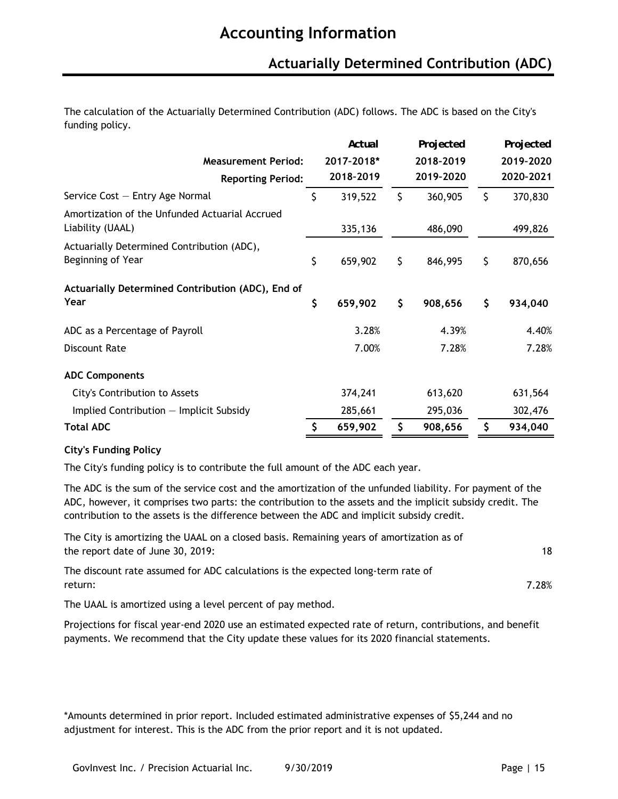### **Actuarially Determined Contribution (ADC)**

The calculation of the Actuarially Determined Contribution (ADC) follows. The ADC is based on the City's funding policy.

|                                                                    | Actual        | Projected     | Projected     |
|--------------------------------------------------------------------|---------------|---------------|---------------|
| <b>Measurement Period:</b>                                         | 2017-2018*    | 2018-2019     | 2019-2020     |
| <b>Reporting Period:</b>                                           | 2018-2019     | 2019-2020     | 2020-2021     |
| Service Cost - Entry Age Normal                                    | \$<br>319,522 | \$<br>360,905 | \$<br>370,830 |
| Amortization of the Unfunded Actuarial Accrued<br>Liability (UAAL) | 335,136       | 486,090       | 499,826       |
| Actuarially Determined Contribution (ADC),<br>Beginning of Year    | \$<br>659,902 | \$<br>846,995 | \$<br>870,656 |
| Actuarially Determined Contribution (ADC), End of<br>Year          | \$<br>659,902 | \$<br>908,656 | \$<br>934,040 |
| ADC as a Percentage of Payroll                                     | 3.28%         | 4.39%         | 4.40%         |
| <b>Discount Rate</b>                                               | 7.00%         | 7.28%         | 7.28%         |
| <b>ADC Components</b>                                              |               |               |               |
| City's Contribution to Assets                                      | 374,241       | 613,620       | 631,564       |
| Implied Contribution $-$ Implicit Subsidy                          | 285,661       | 295,036       | 302,476       |
| <b>Total ADC</b>                                                   | \$<br>659,902 | \$<br>908,656 | \$<br>934,040 |

#### **City's Funding Policy**

The City's funding policy is to contribute the full amount of the ADC each year.

The ADC is the sum of the service cost and the amortization of the unfunded liability. For payment of the ADC, however, it comprises two parts: the contribution to the assets and the implicit subsidy credit. The contribution to the assets is the difference between the ADC and implicit subsidy credit.

The City is amortizing the UAAL on a closed basis. Remaining years of amortization as of the report date of June 30, 2019:

The discount rate assumed for ADC calculations is the expected long-term rate of return:

The UAAL is amortized using a level percent of pay method.

Projections for fiscal year-end 2020 use an estimated expected rate of return, contributions, and benefit payments. We recommend that the City update these values for its 2020 financial statements.

\*Amounts determined in prior report. Included estimated administrative expenses of \$5,244 and no adjustment for interest. This is the ADC from the prior report and it is not updated.

18

7.28%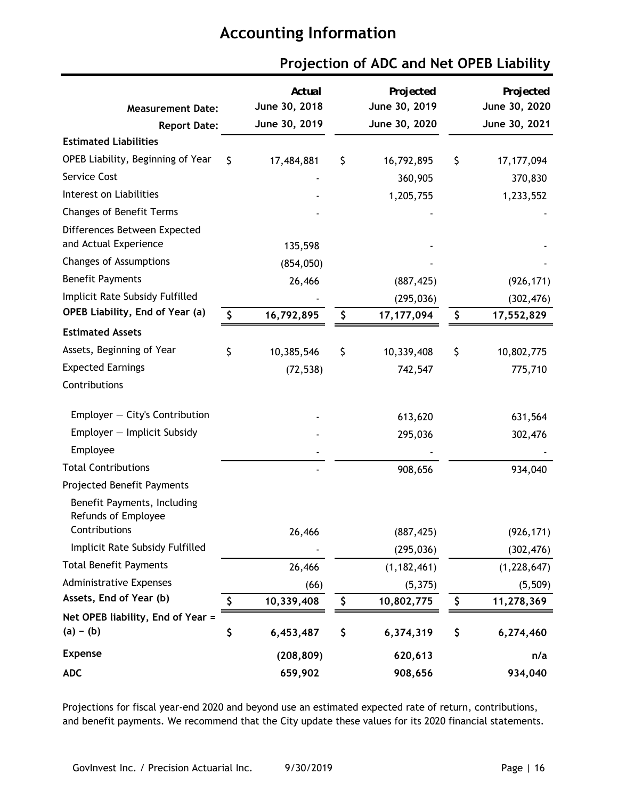| <b>Measurement Date:</b><br><b>Report Date:</b>       |    | Actual<br>June 30, 2018<br>June 30, 2019 | Projected<br>June 30, 2019<br>June 30, 2020 | Projected<br>June 30, 2020<br>June 30, 2021 |
|-------------------------------------------------------|----|------------------------------------------|---------------------------------------------|---------------------------------------------|
| <b>Estimated Liabilities</b>                          |    |                                          |                                             |                                             |
| OPEB Liability, Beginning of Year                     | Ś  | 17,484,881                               | \$<br>16,792,895                            | \$<br>17, 177, 094                          |
| Service Cost                                          |    |                                          | 360,905                                     | 370,830                                     |
| Interest on Liabilities                               |    |                                          | 1,205,755                                   | 1,233,552                                   |
| <b>Changes of Benefit Terms</b>                       |    |                                          |                                             |                                             |
| Differences Between Expected<br>and Actual Experience |    | 135,598                                  |                                             |                                             |
| Changes of Assumptions                                |    | (854, 050)                               |                                             |                                             |
| <b>Benefit Payments</b>                               |    | 26,466                                   | (887, 425)                                  | (926, 171)                                  |
| Implicit Rate Subsidy Fulfilled                       |    |                                          | (295, 036)                                  | (302, 476)                                  |
| OPEB Liability, End of Year (a)                       | \$ | 16,792,895                               | \$<br>17, 177, 094                          | \$<br>17,552,829                            |
| <b>Estimated Assets</b>                               |    |                                          |                                             |                                             |
| Assets, Beginning of Year                             | \$ | 10,385,546                               | \$<br>10,339,408                            | \$<br>10,802,775                            |
| <b>Expected Earnings</b>                              |    | (72, 538)                                | 742,547                                     | 775,710                                     |
| Contributions                                         |    |                                          |                                             |                                             |
| Employer - City's Contribution                        |    |                                          | 613,620                                     | 631,564                                     |
| Employer - Implicit Subsidy                           |    |                                          | 295,036                                     | 302,476                                     |
| Employee                                              |    |                                          |                                             |                                             |
| <b>Total Contributions</b>                            |    |                                          | 908,656                                     | 934,040                                     |
| Projected Benefit Payments                            |    |                                          |                                             |                                             |
| Benefit Payments, Including<br>Refunds of Employee    |    |                                          |                                             |                                             |
| Contributions                                         |    | 26,466                                   | (887, 425)                                  | (926, 171)                                  |
| Implicit Rate Subsidy Fulfilled                       |    |                                          | (295, 036)                                  | (302, 476)                                  |
| <b>Total Benefit Payments</b>                         |    | 26,466                                   | (1, 182, 461)                               | (1,228,647)                                 |
| <b>Administrative Expenses</b>                        |    | (66)                                     | (5, 375)                                    | (5,509)                                     |
| Assets, End of Year (b)                               | \$ | 10,339,408                               | \$<br>10,802,775                            | \$<br>11,278,369                            |
| Net OPEB liability, End of Year =<br>$(a) - (b)$      | \$ | 6,453,487                                | \$<br>6,374,319                             | \$<br>6,274,460                             |
| <b>Expense</b>                                        |    | (208, 809)                               | 620,613                                     | n/a                                         |
| <b>ADC</b>                                            |    | 659,902                                  | 908,656                                     | 934,040                                     |

### **Projection of ADC and Net OPEB Liability**

Projections for fiscal year-end 2020 and beyond use an estimated expected rate of return, contributions, and benefit payments. We recommend that the City update these values for its 2020 financial statements.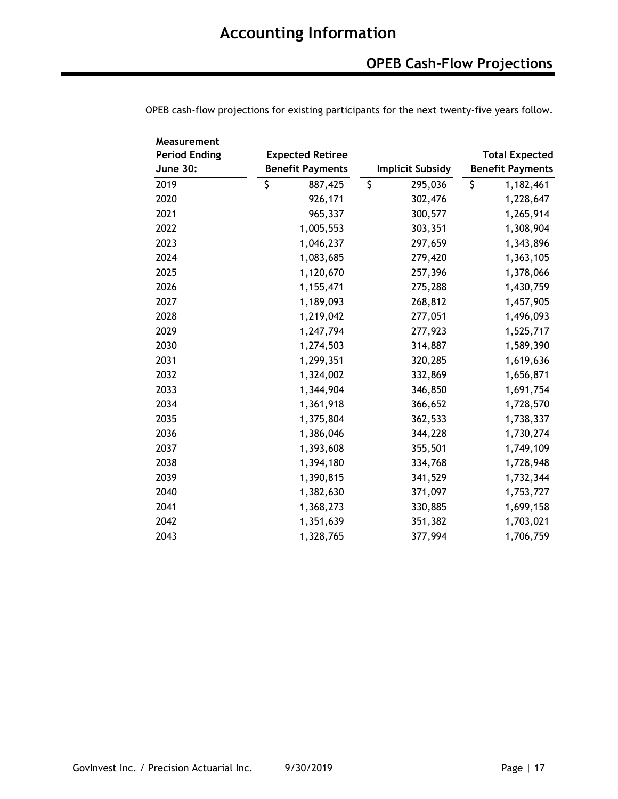| Measurement          |                         |                         |                         |
|----------------------|-------------------------|-------------------------|-------------------------|
| <b>Period Ending</b> | <b>Expected Retiree</b> |                         | <b>Total Expected</b>   |
| <b>June 30:</b>      | <b>Benefit Payments</b> | <b>Implicit Subsidy</b> | <b>Benefit Payments</b> |
| 2019                 | \$<br>887,425           | \$<br>295,036           | \$<br>1,182,461         |
| 2020                 | 926,171                 | 302,476                 | 1,228,647               |
| 2021                 | 965,337                 | 300,577                 | 1,265,914               |
| 2022                 | 1,005,553               | 303,351                 | 1,308,904               |
| 2023                 | 1,046,237               | 297,659                 | 1,343,896               |
| 2024                 | 1,083,685               | 279,420                 | 1,363,105               |
| 2025                 | 1,120,670               | 257,396                 | 1,378,066               |
| 2026                 | 1,155,471               | 275,288                 | 1,430,759               |
| 2027                 | 1,189,093               | 268,812                 | 1,457,905               |
| 2028                 | 1,219,042               | 277,051                 | 1,496,093               |
| 2029                 | 1,247,794               | 277,923                 | 1,525,717               |
| 2030                 | 1,274,503               | 314,887                 | 1,589,390               |
| 2031                 | 1,299,351               | 320,285                 | 1,619,636               |
| 2032                 | 1,324,002               | 332,869                 | 1,656,871               |
| 2033                 | 1,344,904               | 346,850                 | 1,691,754               |
| 2034                 | 1,361,918               | 366,652                 | 1,728,570               |
| 2035                 | 1,375,804               | 362,533                 | 1,738,337               |
| 2036                 | 1,386,046               | 344,228                 | 1,730,274               |
| 2037                 | 1,393,608               | 355,501                 | 1,749,109               |
| 2038                 | 1,394,180               | 334,768                 | 1,728,948               |
| 2039                 | 1,390,815               | 341,529                 | 1,732,344               |
| 2040                 | 1,382,630               | 371,097                 | 1,753,727               |
| 2041                 | 1,368,273               | 330,885                 | 1,699,158               |
| 2042                 | 1,351,639               | 351,382                 | 1,703,021               |
| 2043                 | 1,328,765               | 377,994                 | 1,706,759               |

OPEB cash-flow projections for existing participants for the next twenty-five years follow.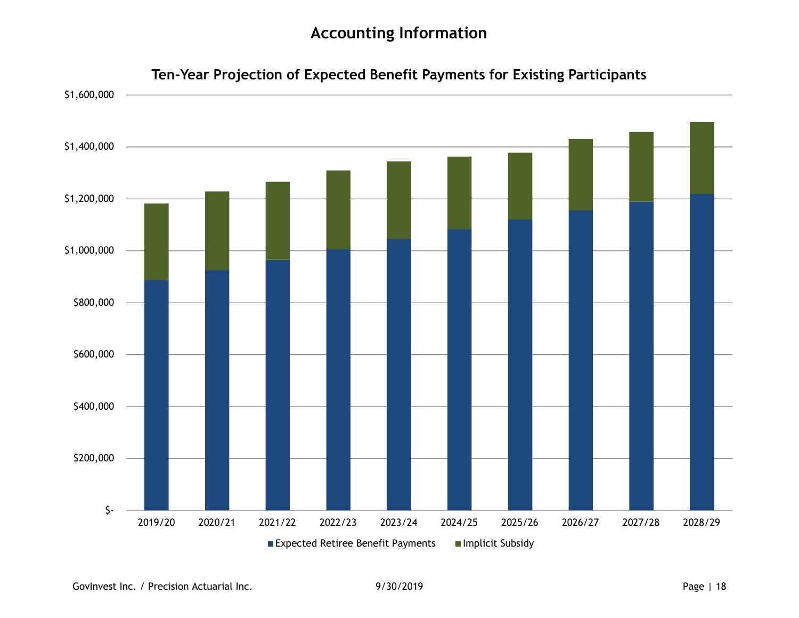

**Ten-Year Projection of Expected Benefit Payments for Existing Participants**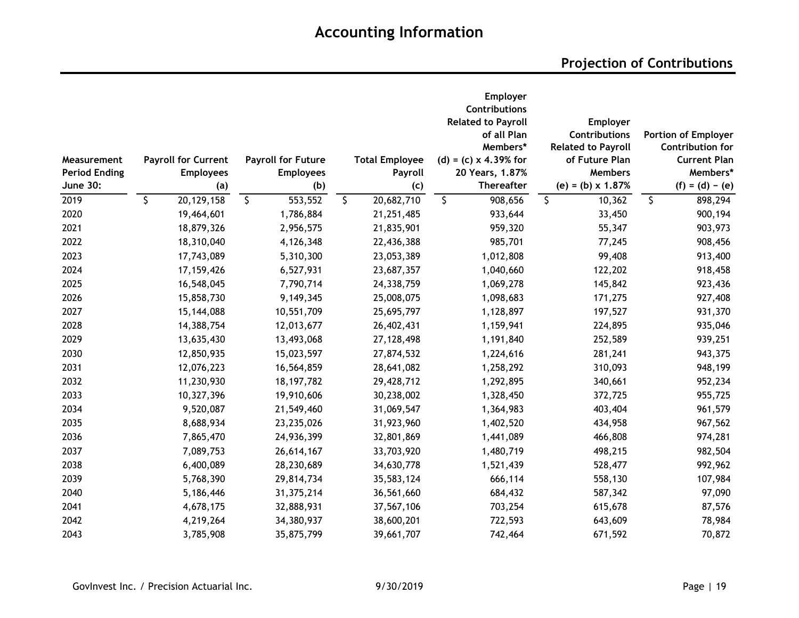| Measurement<br><b>Period Ending</b><br><b>June 30:</b> | <b>Payroll for Current</b><br><b>Employees</b><br>(a) | <b>Payroll for Future</b><br><b>Employees</b><br>(b) |              | <b>Total Employee</b><br>Payroll<br>(c) | Employer<br>Contributions<br><b>Related to Payroll</b><br>of all Plan<br>Members*<br>$(d) = (c) \times 4.39%$ for<br>20 Years, 1.87%<br><b>Thereafter</b> | Employer<br><b>Contributions</b><br><b>Related to Payroll</b><br>of Future Plan<br><b>Members</b><br>$(e) = (b) \times 1.87%$ | <b>Portion of Employer</b><br><b>Contribution for</b><br><b>Current Plan</b><br>Members*<br>$(f) = (d) - (e)$ |
|--------------------------------------------------------|-------------------------------------------------------|------------------------------------------------------|--------------|-----------------------------------------|-----------------------------------------------------------------------------------------------------------------------------------------------------------|-------------------------------------------------------------------------------------------------------------------------------|---------------------------------------------------------------------------------------------------------------|
| 2019                                                   | \$<br>20, 129, 158                                    | \$<br>553,552                                        | $\mathsf{S}$ | 20,682,710                              | \$<br>908,656                                                                                                                                             | \$<br>10,362                                                                                                                  | \$<br>898,294                                                                                                 |
| 2020                                                   | 19,464,601                                            | 1,786,884                                            |              | 21,251,485                              | 933,644                                                                                                                                                   | 33,450                                                                                                                        | 900,194                                                                                                       |
| 2021                                                   | 18,879,326                                            | 2,956,575                                            |              | 21,835,901                              | 959,320                                                                                                                                                   | 55,347                                                                                                                        | 903,973                                                                                                       |
| 2022                                                   | 18,310,040                                            | 4,126,348                                            |              | 22,436,388                              | 985,701                                                                                                                                                   | 77,245                                                                                                                        | 908,456                                                                                                       |
| 2023                                                   | 17,743,089                                            | 5,310,300                                            |              | 23,053,389                              | 1,012,808                                                                                                                                                 | 99,408                                                                                                                        | 913,400                                                                                                       |
| 2024                                                   | 17, 159, 426                                          | 6,527,931                                            |              | 23,687,357                              | 1,040,660                                                                                                                                                 | 122,202                                                                                                                       | 918,458                                                                                                       |
| 2025                                                   | 16,548,045                                            | 7,790,714                                            |              | 24,338,759                              | 1,069,278                                                                                                                                                 | 145,842                                                                                                                       | 923,436                                                                                                       |
| 2026                                                   | 15,858,730                                            | 9,149,345                                            |              | 25,008,075                              | 1,098,683                                                                                                                                                 | 171,275                                                                                                                       | 927,408                                                                                                       |
| 2027                                                   | 15,144,088                                            | 10,551,709                                           |              | 25,695,797                              | 1,128,897                                                                                                                                                 | 197,527                                                                                                                       | 931,370                                                                                                       |
| 2028                                                   | 14,388,754                                            | 12,013,677                                           |              | 26,402,431                              | 1,159,941                                                                                                                                                 | 224,895                                                                                                                       | 935,046                                                                                                       |
| 2029                                                   | 13,635,430                                            | 13,493,068                                           |              | 27, 128, 498                            | 1,191,840                                                                                                                                                 | 252,589                                                                                                                       | 939,251                                                                                                       |
| 2030                                                   | 12,850,935                                            | 15,023,597                                           |              | 27,874,532                              | 1,224,616                                                                                                                                                 | 281,241                                                                                                                       | 943,375                                                                                                       |
| 2031                                                   | 12,076,223                                            | 16,564,859                                           |              | 28,641,082                              | 1,258,292                                                                                                                                                 | 310,093                                                                                                                       | 948,199                                                                                                       |
| 2032                                                   | 11,230,930                                            | 18, 197, 782                                         |              | 29,428,712                              | 1,292,895                                                                                                                                                 | 340,661                                                                                                                       | 952,234                                                                                                       |
| 2033                                                   | 10,327,396                                            | 19,910,606                                           |              | 30,238,002                              | 1,328,450                                                                                                                                                 | 372,725                                                                                                                       | 955,725                                                                                                       |
| 2034                                                   | 9,520,087                                             | 21,549,460                                           |              | 31,069,547                              | 1,364,983                                                                                                                                                 | 403,404                                                                                                                       | 961,579                                                                                                       |
| 2035                                                   | 8,688,934                                             | 23,235,026                                           |              | 31,923,960                              | 1,402,520                                                                                                                                                 | 434,958                                                                                                                       | 967,562                                                                                                       |
| 2036                                                   | 7,865,470                                             | 24,936,399                                           |              | 32,801,869                              | 1,441,089                                                                                                                                                 | 466,808                                                                                                                       | 974,281                                                                                                       |
| 2037                                                   | 7,089,753                                             | 26,614,167                                           |              | 33,703,920                              | 1,480,719                                                                                                                                                 | 498,215                                                                                                                       | 982,504                                                                                                       |
| 2038                                                   | 6,400,089                                             | 28,230,689                                           |              | 34,630,778                              | 1,521,439                                                                                                                                                 | 528,477                                                                                                                       | 992,962                                                                                                       |
| 2039                                                   | 5,768,390                                             | 29,814,734                                           |              | 35,583,124                              | 666,114                                                                                                                                                   | 558,130                                                                                                                       | 107,984                                                                                                       |
| 2040                                                   | 5,186,446                                             | 31,375,214                                           |              | 36,561,660                              | 684,432                                                                                                                                                   | 587,342                                                                                                                       | 97,090                                                                                                        |
| 2041                                                   | 4,678,175                                             | 32,888,931                                           |              | 37,567,106                              | 703,254                                                                                                                                                   | 615,678                                                                                                                       | 87,576                                                                                                        |
| 2042                                                   | 4,219,264                                             | 34,380,937                                           |              | 38,600,201                              | 722,593                                                                                                                                                   | 643,609                                                                                                                       | 78,984                                                                                                        |
| 2043                                                   | 3,785,908                                             | 35,875,799                                           |              | 39,661,707                              | 742,464                                                                                                                                                   | 671,592                                                                                                                       | 70,872                                                                                                        |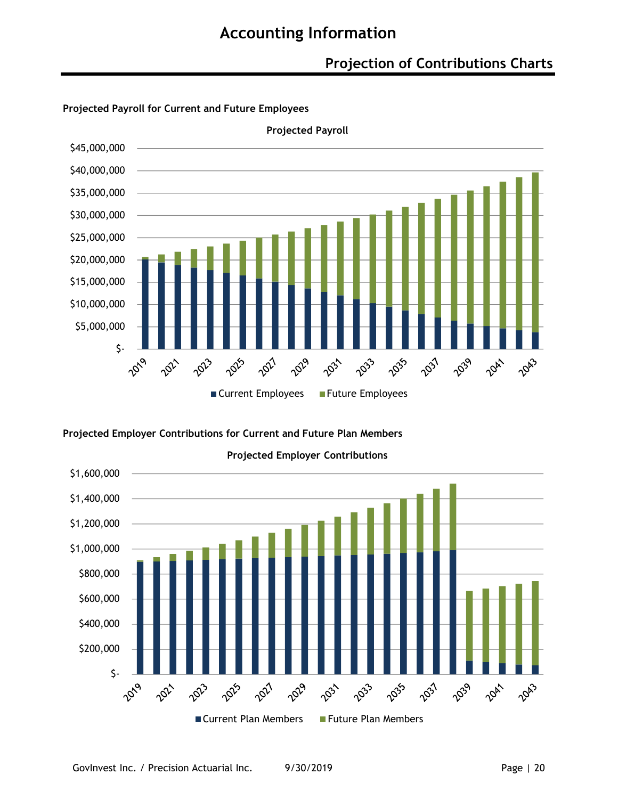### **Projection of Contributions Charts**



**Projected Payroll for Current and Future Employees**

### **Projected Employer Contributions for Current and Future Plan Members**

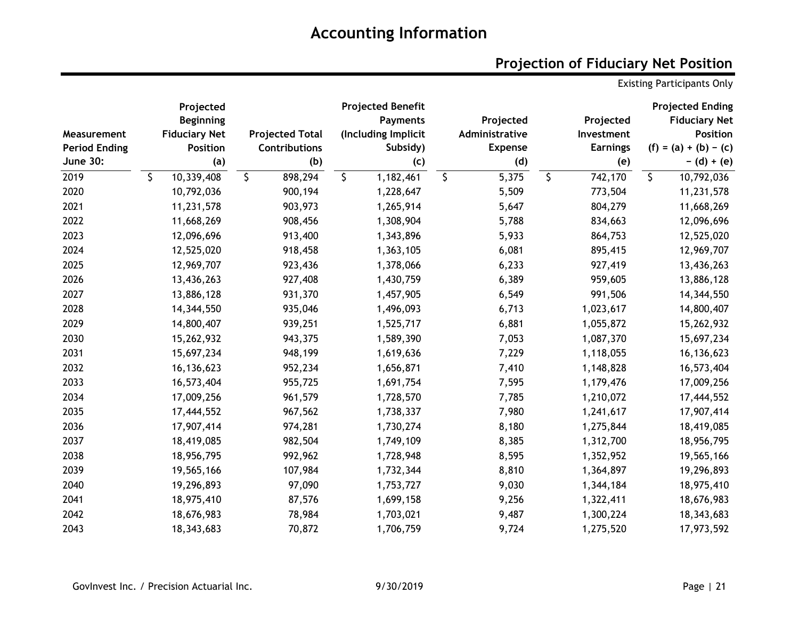## **Projection of Fiduciary Net Position**

Existing Participants Only

|                      | Projected            |         |                        | <b>Projected Benefit</b> |         |                |                 | <b>Projected Ending</b> |
|----------------------|----------------------|---------|------------------------|--------------------------|---------|----------------|-----------------|-------------------------|
|                      | <b>Beginning</b>     |         |                        | <b>Payments</b>          |         | Projected      | Projected       | <b>Fiduciary Net</b>    |
| Measurement          | <b>Fiduciary Net</b> |         | <b>Projected Total</b> | (Including Implicit      |         | Administrative | Investment      | <b>Position</b>         |
| <b>Period Ending</b> | <b>Position</b>      |         | <b>Contributions</b>   | Subsidy)                 |         | <b>Expense</b> | <b>Earnings</b> | $(f) = (a) + (b) - (c)$ |
| <b>June 30:</b>      | (a)                  |         | (b)                    | (c)                      |         | (d)            | (e)             | $-$ (d) + (e)           |
| 2019                 | \$<br>10,339,408     | $\zeta$ | 898,294                | \$<br>1,182,461          | $\zeta$ | 5,375          | \$<br>742,170   | \$<br>10,792,036        |
| 2020                 | 10,792,036           |         | 900,194                | 1,228,647                |         | 5,509          | 773,504         | 11,231,578              |
| 2021                 | 11,231,578           |         | 903,973                | 1,265,914                |         | 5,647          | 804,279         | 11,668,269              |
| 2022                 | 11,668,269           |         | 908,456                | 1,308,904                |         | 5,788          | 834,663         | 12,096,696              |
| 2023                 | 12,096,696           |         | 913,400                | 1,343,896                |         | 5,933          | 864,753         | 12,525,020              |
| 2024                 | 12,525,020           |         | 918,458                | 1,363,105                |         | 6,081          | 895,415         | 12,969,707              |
| 2025                 | 12,969,707           |         | 923,436                | 1,378,066                |         | 6,233          | 927,419         | 13,436,263              |
| 2026                 | 13,436,263           |         | 927,408                | 1,430,759                |         | 6,389          | 959,605         | 13,886,128              |
| 2027                 | 13,886,128           |         | 931,370                | 1,457,905                |         | 6,549          | 991,506         | 14,344,550              |
| 2028                 | 14,344,550           |         | 935,046                | 1,496,093                |         | 6,713          | 1,023,617       | 14,800,407              |
| 2029                 | 14,800,407           |         | 939,251                | 1,525,717                |         | 6,881          | 1,055,872       | 15,262,932              |
| 2030                 | 15,262,932           |         | 943,375                | 1,589,390                |         | 7,053          | 1,087,370       | 15,697,234              |
| 2031                 | 15,697,234           |         | 948,199                | 1,619,636                |         | 7,229          | 1,118,055       | 16, 136, 623            |
| 2032                 | 16,136,623           |         | 952,234                | 1,656,871                |         | 7,410          | 1,148,828       | 16,573,404              |
| 2033                 | 16,573,404           |         | 955,725                | 1,691,754                |         | 7,595          | 1,179,476       | 17,009,256              |
| 2034                 | 17,009,256           |         | 961,579                | 1,728,570                |         | 7,785          | 1,210,072       | 17,444,552              |
| 2035                 | 17,444,552           |         | 967,562                | 1,738,337                |         | 7,980          | 1,241,617       | 17,907,414              |
| 2036                 | 17,907,414           |         | 974,281                | 1,730,274                |         | 8,180          | 1,275,844       | 18,419,085              |
| 2037                 | 18,419,085           |         | 982,504                | 1,749,109                |         | 8,385          | 1,312,700       | 18,956,795              |
| 2038                 | 18,956,795           |         | 992,962                | 1,728,948                |         | 8,595          | 1,352,952       | 19,565,166              |
| 2039                 | 19,565,166           |         | 107,984                | 1,732,344                |         | 8,810          | 1,364,897       | 19,296,893              |
| 2040                 | 19,296,893           |         | 97,090                 | 1,753,727                |         | 9,030          | 1,344,184       | 18,975,410              |
| 2041                 | 18,975,410           |         | 87,576                 | 1,699,158                |         | 9,256          | 1,322,411       | 18,676,983              |
| 2042                 | 18,676,983           |         | 78,984                 | 1,703,021                |         | 9,487          | 1,300,224       | 18,343,683              |
| 2043                 | 18,343,683           |         | 70,872                 | 1,706,759                |         | 9,724          | 1,275,520       | 17,973,592              |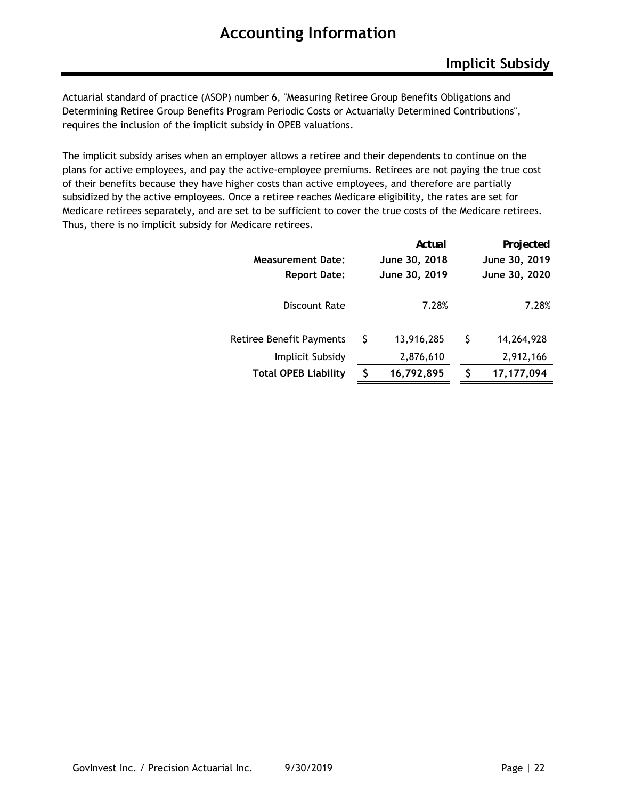Actuarial standard of practice (ASOP) number 6, "Measuring Retiree Group Benefits Obligations and Determining Retiree Group Benefits Program Periodic Costs or Actuarially Determined Contributions", requires the inclusion of the implicit subsidy in OPEB valuations.

The implicit subsidy arises when an employer allows a retiree and their dependents to continue on the plans for active employees, and pay the active-employee premiums. Retirees are not paying the true cost of their benefits because they have higher costs than active employees, and therefore are partially subsidized by the active employees. Once a retiree reaches Medicare eligibility, the rates are set for Medicare retirees separately, and are set to be sufficient to cover the true costs of the Medicare retirees. Thus, there is no implicit subsidy for Medicare retirees.

|                                 |   | Actual        |   | Projected     |
|---------------------------------|---|---------------|---|---------------|
| <b>Measurement Date:</b>        |   | June 30, 2018 |   | June 30, 2019 |
| <b>Report Date:</b>             |   | June 30, 2019 |   | June 30, 2020 |
|                                 |   |               |   |               |
| Discount Rate                   |   | 7.28%         |   | 7.28%         |
|                                 |   |               |   |               |
| <b>Retiree Benefit Payments</b> | S | 13,916,285    | S | 14,264,928    |
| Implicit Subsidy                |   | 2,876,610     |   | 2,912,166     |
| <b>Total OPEB Liability</b>     |   | 16,792,895    |   | 17,177,094    |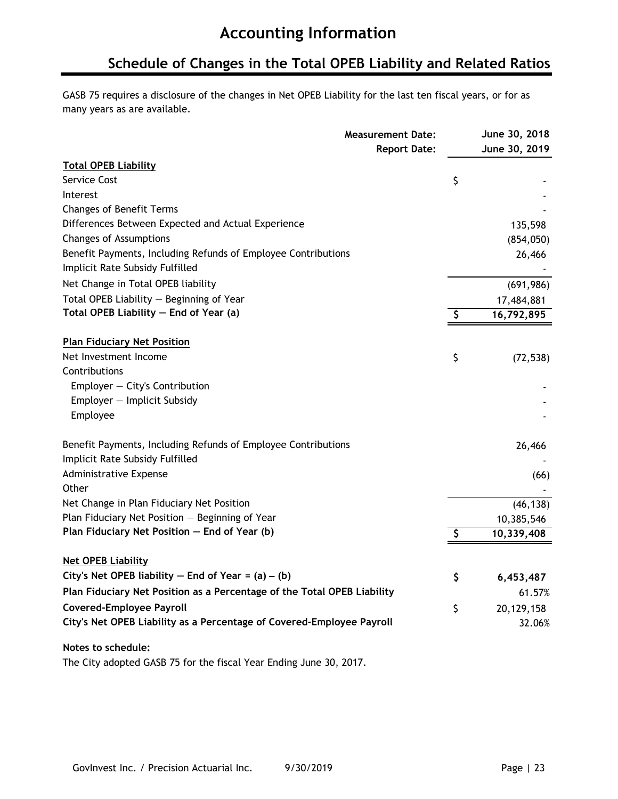### **Schedule of Changes in the Total OPEB Liability and Related Ratios**

GASB 75 requires a disclosure of the changes in Net OPEB Liability for the last ten fiscal years, or for as many years as are available.

|                                                                                                  | <b>Measurement Date:</b> | June 30, 2018    |
|--------------------------------------------------------------------------------------------------|--------------------------|------------------|
|                                                                                                  | <b>Report Date:</b>      | June 30, 2019    |
| <b>Total OPEB Liability</b>                                                                      |                          |                  |
| Service Cost                                                                                     |                          | \$               |
| Interest                                                                                         |                          |                  |
| <b>Changes of Benefit Terms</b>                                                                  |                          |                  |
| Differences Between Expected and Actual Experience                                               |                          | 135,598          |
| Changes of Assumptions                                                                           |                          | (854, 050)       |
| Benefit Payments, Including Refunds of Employee Contributions<br>Implicit Rate Subsidy Fulfilled |                          | 26,466           |
| Net Change in Total OPEB liability                                                               |                          | (691, 986)       |
| Total OPEB Liability - Beginning of Year                                                         |                          | 17,484,881       |
| Total OPEB Liability - End of Year (a)                                                           |                          | \$<br>16,792,895 |
|                                                                                                  |                          |                  |
| <b>Plan Fiduciary Net Position</b>                                                               |                          |                  |
| Net Investment Income                                                                            |                          | \$<br>(72, 538)  |
| Contributions                                                                                    |                          |                  |
| Employer $-$ City's Contribution                                                                 |                          |                  |
| Employer - Implicit Subsidy                                                                      |                          |                  |
| Employee                                                                                         |                          |                  |
| Benefit Payments, Including Refunds of Employee Contributions                                    |                          | 26,466           |
| Implicit Rate Subsidy Fulfilled                                                                  |                          |                  |
| Administrative Expense                                                                           |                          | (66)             |
| Other                                                                                            |                          |                  |
| Net Change in Plan Fiduciary Net Position                                                        |                          | (46, 138)        |
| Plan Fiduciary Net Position - Beginning of Year                                                  |                          | 10,385,546       |
| Plan Fiduciary Net Position - End of Year (b)                                                    |                          | \$<br>10,339,408 |
| <b>Net OPEB Liability</b>                                                                        |                          |                  |
| City's Net OPEB liability $-$ End of Year = (a) $-$ (b)                                          |                          | \$<br>6,453,487  |
| Plan Fiduciary Net Position as a Percentage of the Total OPEB Liability                          |                          | 61.57%           |
| <b>Covered-Employee Payroll</b>                                                                  |                          | \$<br>20,129,158 |
| City's Net OPEB Liability as a Percentage of Covered-Employee Payroll                            |                          | 32.06%           |
| Notes to schedule:                                                                               |                          |                  |
| The City adopted GASB 75 for the fiscal Year Ending June 30, 2017.                               |                          |                  |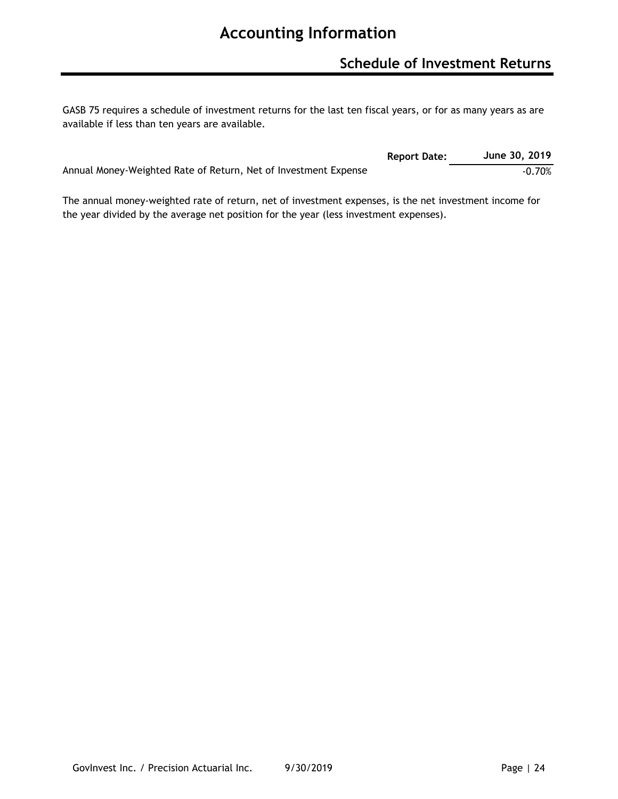GASB 75 requires a schedule of investment returns for the last ten fiscal years, or for as many years as are available if less than ten years are available.

|                                                                 | <b>Report Date:</b> | June 30, 2019 |
|-----------------------------------------------------------------|---------------------|---------------|
| Annual Money-Weighted Rate of Return, Net of Investment Expense |                     | $-0.70%$      |

The annual money-weighted rate of return, net of investment expenses, is the net investment income for the year divided by the average net position for the year (less investment expenses).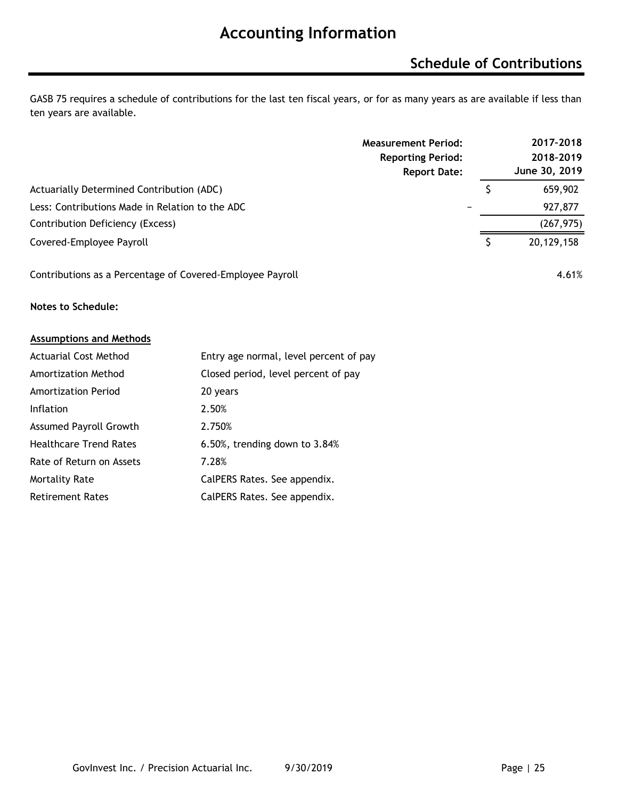## **Schedule of Contributions**

GASB 75 requires a schedule of contributions for the last ten fiscal years, or for as many years as are available if less than ten years are available.

|                                                           | <b>Measurement Period:</b><br><b>Reporting Period:</b><br><b>Report Date:</b> | 2017-2018<br>2018-2019<br>June 30, 2019 |
|-----------------------------------------------------------|-------------------------------------------------------------------------------|-----------------------------------------|
| Actuarially Determined Contribution (ADC)                 |                                                                               | 659,902                                 |
| Less: Contributions Made in Relation to the ADC           |                                                                               | 927,877                                 |
| Contribution Deficiency (Excess)                          |                                                                               | (267, 975)                              |
| Covered-Employee Payroll                                  |                                                                               | 20,129,158                              |
| Contributions as a Percentage of Covered-Employee Payroll |                                                                               | 4.61%                                   |

**Notes to Schedule:**

#### **Assumptions and Methods**

| <b>Actuarial Cost Method</b>  | Entry age normal, level percent of pay |
|-------------------------------|----------------------------------------|
| Amortization Method           | Closed period, level percent of pay    |
| <b>Amortization Period</b>    | 20 years                               |
| <b>Inflation</b>              | 2.50%                                  |
| <b>Assumed Payroll Growth</b> | 2.750%                                 |
| <b>Healthcare Trend Rates</b> | 6.50%, trending down to 3.84%          |
| Rate of Return on Assets      | 7.28%                                  |
| <b>Mortality Rate</b>         | CalPERS Rates. See appendix.           |
| <b>Retirement Rates</b>       | CalPERS Rates. See appendix.           |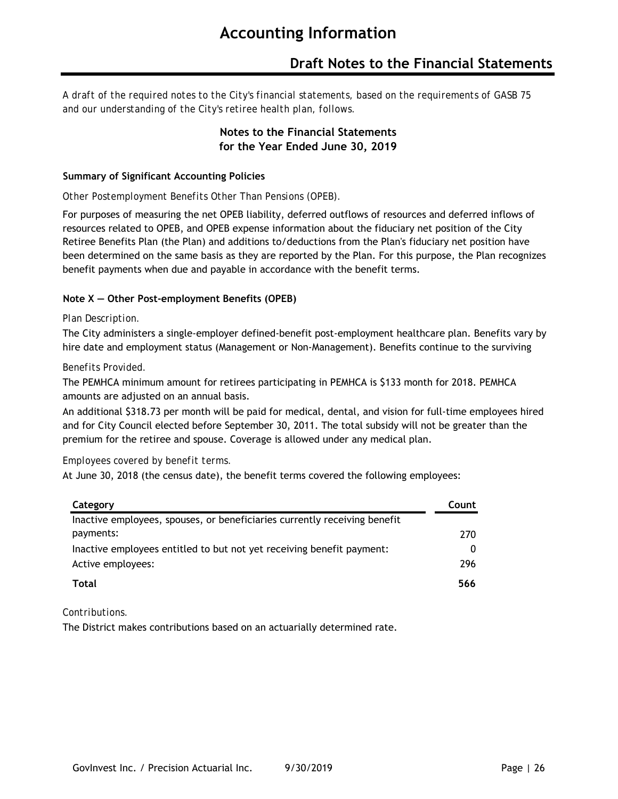### **Draft Notes to the Financial Statements**

*A draft of the required notes to the City's financial statements, based on the requirements of GASB 75 and our understanding of the City's retiree health plan, follows.*

### **Notes to the Financial Statements for the Year Ended June 30, 2019**

#### **Summary of Significant Accounting Policies**

#### *Other Postemployment Benefits Other Than Pensions (OPEB).*

For purposes of measuring the net OPEB liability, deferred outflows of resources and deferred inflows of resources related to OPEB, and OPEB expense information about the fiduciary net position of the City Retiree Benefits Plan (the Plan) and additions to/deductions from the Plan's fiduciary net position have been determined on the same basis as they are reported by the Plan. For this purpose, the Plan recognizes benefit payments when due and payable in accordance with the benefit terms.

#### **Note X — Other Post-employment Benefits (OPEB)**

#### *Plan Description.*

The City administers a single-employer defined-benefit post-employment healthcare plan. Benefits vary by hire date and employment status (Management or Non-Management). Benefits continue to the surviving

#### *Benefits Provided.*

The PEMHCA minimum amount for retirees participating in PEMHCA is \$133 month for 2018. PEMHCA amounts are adjusted on an annual basis.

An additional \$318.73 per month will be paid for medical, dental, and vision for full-time employees hired and for City Council elected before September 30, 2011. The total subsidy will not be greater than the premium for the retiree and spouse. Coverage is allowed under any medical plan.

#### *Employees covered by benefit terms.*

At June 30, 2018 (the census date), the benefit terms covered the following employees:

| Category                                                                  | Count |
|---------------------------------------------------------------------------|-------|
| Inactive employees, spouses, or beneficiaries currently receiving benefit |       |
| payments:                                                                 | 270   |
| Inactive employees entitled to but not yet receiving benefit payment:     | 0     |
| Active employees:                                                         | 296   |
| Total                                                                     | 566   |

#### *Contributions.*

The District makes contributions based on an actuarially determined rate.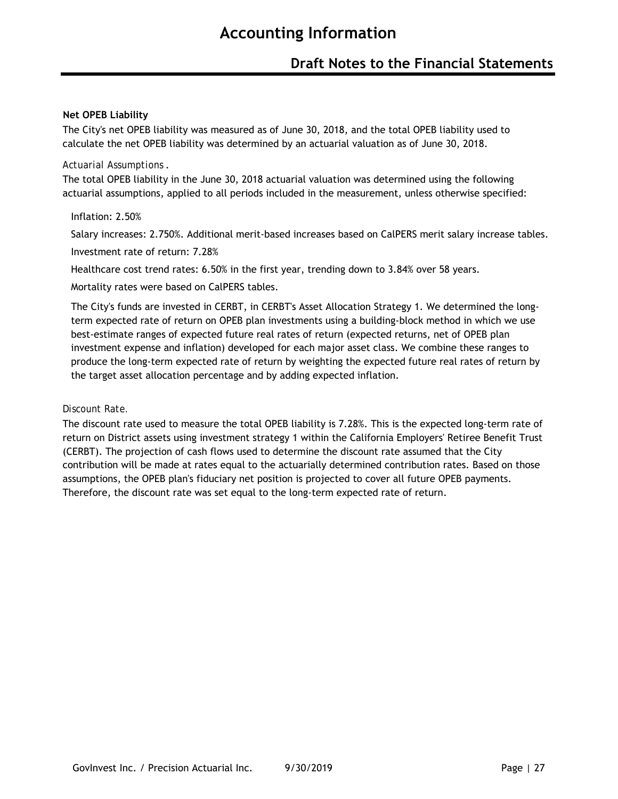#### **Net OPEB Liability**

The City's net OPEB liability was measured as of June 30, 2018, and the total OPEB liability used to calculate the net OPEB liability was determined by an actuarial valuation as of June 30, 2018.

#### *Actuarial Assumptions* .

The total OPEB liability in the June 30, 2018 actuarial valuation was determined using the following actuarial assumptions, applied to all periods included in the measurement, unless otherwise specified:

#### Inflation: 2.50%

Salary increases: 2.750%. Additional merit-based increases based on CalPERS merit salary increase tables. Investment rate of return: 7.28%

Healthcare cost trend rates: 6.50% in the first year, trending down to 3.84% over 58 years.

Mortality rates were based on CalPERS tables.

The City's funds are invested in CERBT, in CERBT's Asset Allocation Strategy 1. We determined the longterm expected rate of return on OPEB plan investments using a building-block method in which we use best-estimate ranges of expected future real rates of return (expected returns, net of OPEB plan investment expense and inflation) developed for each major asset class. We combine these ranges to produce the long-term expected rate of return by weighting the expected future real rates of return by the target asset allocation percentage and by adding expected inflation.

#### *Discount Rate.*

The discount rate used to measure the total OPEB liability is 7.28%. This is the expected long-term rate of return on District assets using investment strategy 1 within the California Employers' Retiree Benefit Trust (CERBT). The projection of cash flows used to determine the discount rate assumed that the City contribution will be made at rates equal to the actuarially determined contribution rates. Based on those assumptions, the OPEB plan's fiduciary net position is projected to cover all future OPEB payments. Therefore, the discount rate was set equal to the long-term expected rate of return.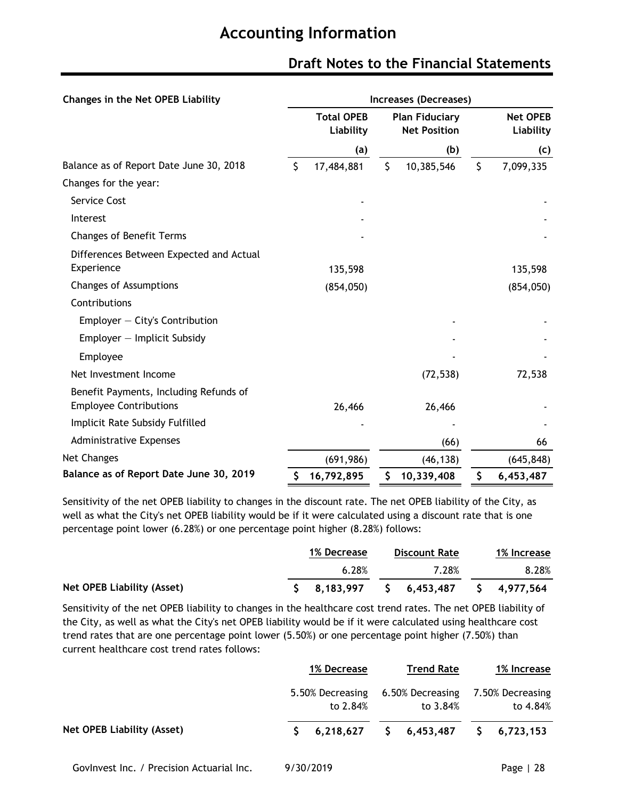| Changes in the Net OPEB Liability                                       | Increases (Decreases) |                                |    |                                              |    |                              |  |  |  |  |
|-------------------------------------------------------------------------|-----------------------|--------------------------------|----|----------------------------------------------|----|------------------------------|--|--|--|--|
|                                                                         |                       | <b>Total OPEB</b><br>Liability |    | <b>Plan Fiduciary</b><br><b>Net Position</b> |    | <b>Net OPEB</b><br>Liability |  |  |  |  |
|                                                                         |                       | (a)                            |    | (b)                                          |    | (c)                          |  |  |  |  |
| Balance as of Report Date June 30, 2018                                 | \$                    | 17,484,881                     | \$ | 10,385,546                                   | \$ | 7,099,335                    |  |  |  |  |
| Changes for the year:                                                   |                       |                                |    |                                              |    |                              |  |  |  |  |
| Service Cost                                                            |                       |                                |    |                                              |    |                              |  |  |  |  |
| Interest                                                                |                       |                                |    |                                              |    |                              |  |  |  |  |
| <b>Changes of Benefit Terms</b>                                         |                       |                                |    |                                              |    |                              |  |  |  |  |
| Differences Between Expected and Actual<br>Experience                   |                       | 135,598                        |    |                                              |    | 135,598                      |  |  |  |  |
| <b>Changes of Assumptions</b>                                           |                       | (854, 050)                     |    |                                              |    | (854, 050)                   |  |  |  |  |
| Contributions                                                           |                       |                                |    |                                              |    |                              |  |  |  |  |
| Employer $-$ City's Contribution                                        |                       |                                |    |                                              |    |                              |  |  |  |  |
| Employer - Implicit Subsidy                                             |                       |                                |    |                                              |    |                              |  |  |  |  |
| Employee                                                                |                       |                                |    |                                              |    |                              |  |  |  |  |
| Net Investment Income                                                   |                       |                                |    | (72, 538)                                    |    | 72,538                       |  |  |  |  |
| Benefit Payments, Including Refunds of<br><b>Employee Contributions</b> |                       | 26,466                         |    | 26,466                                       |    |                              |  |  |  |  |
| Implicit Rate Subsidy Fulfilled                                         |                       |                                |    |                                              |    |                              |  |  |  |  |
| <b>Administrative Expenses</b>                                          |                       |                                |    | (66)                                         |    | 66                           |  |  |  |  |
| Net Changes                                                             |                       | (691, 986)                     |    | (46, 138)                                    |    | (645, 848)                   |  |  |  |  |
| Balance as of Report Date June 30, 2019                                 | \$                    | 16,792,895                     | \$ | 10,339,408                                   | \$ | 6,453,487                    |  |  |  |  |

### **Draft Notes to the Financial Statements**

Sensitivity of the net OPEB liability to changes in the discount rate. The net OPEB liability of the City, as well as what the City's net OPEB liability would be if it were calculated using a discount rate that is one percentage point lower (6.28%) or one percentage point higher (8.28%) follows:

|                            | 1% Decrease | Discount Rate                                                                       | 1% Increase |
|----------------------------|-------------|-------------------------------------------------------------------------------------|-------------|
|                            | 6.28%       | 7.28%                                                                               | 8.28%       |
| Net OPEB Liability (Asset) |             | $\begin{array}{cccccccc} 5 & 8,183,997 & 5 & 6,453,487 & 5 & 4,977,564 \end{array}$ |             |

Sensitivity of the net OPEB liability to changes in the healthcare cost trend rates. The net OPEB liability of the City, as well as what the City's net OPEB liability would be if it were calculated using healthcare cost trend rates that are one percentage point lower (5.50%) or one percentage point higher (7.50%) than current healthcare cost trend rates follows:

|                            | 1% Decrease                  | <b>Trend Rate</b>                                                                                            | 1% Increase                  |
|----------------------------|------------------------------|--------------------------------------------------------------------------------------------------------------|------------------------------|
|                            | 5.50% Decreasing<br>to 2.84% | 6.50% Decreasing<br>to 3.84%                                                                                 | 7.50% Decreasing<br>to 4.84% |
| Net OPEB Liability (Asset) |                              | $\begin{array}{cccccc} \textsf{S} & 6,218,627 & \textsf{S} & 6,453,487 & \textsf{S} & 6,723,153 \end{array}$ |                              |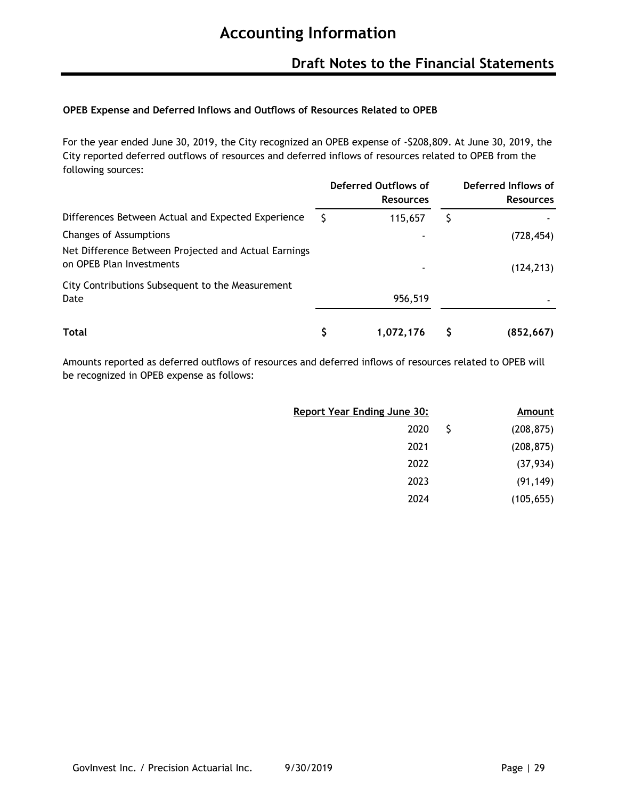### **Draft Notes to the Financial Statements**

### **OPEB Expense and Deferred Inflows and Outflows of Resources Related to OPEB**

For the year ended June 30, 2019, the City recognized an OPEB expense of -\$208,809. At June 30, 2019, the City reported deferred outflows of resources and deferred inflows of resources related to OPEB from the following sources:

|                                                                                  | <b>Deferred Outflows of</b><br><b>Resources</b> | Deferred Inflows of<br><b>Resources</b> |
|----------------------------------------------------------------------------------|-------------------------------------------------|-----------------------------------------|
| Differences Between Actual and Expected Experience                               | 115,657                                         |                                         |
| Changes of Assumptions                                                           |                                                 | (728, 454)                              |
| Net Difference Between Projected and Actual Earnings<br>on OPEB Plan Investments | ٠                                               | (124, 213)                              |
| City Contributions Subsequent to the Measurement<br>Date                         | 956,519                                         |                                         |
| Total                                                                            | 1,072,176                                       | (852, 667)                              |

Amounts reported as deferred outflows of resources and deferred inflows of resources related to OPEB will be recognized in OPEB expense as follows:

| Report Year Ending June 30: |              | Amount     |
|-----------------------------|--------------|------------|
| 2020                        | <sub>S</sub> | (208, 875) |
| 2021                        |              | (208, 875) |
| 2022                        |              | (37, 934)  |
| 2023                        |              | (91, 149)  |
| 2024                        |              | (105, 655) |
|                             |              |            |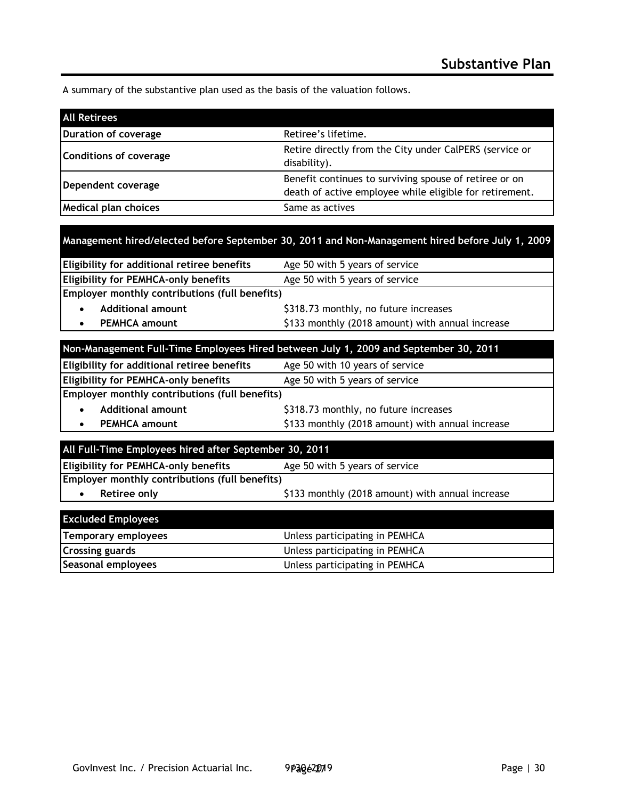A summary of the substantive plan used as the basis of the valuation follows.

| <b>All Retirees</b>    |                                                                                                                   |
|------------------------|-------------------------------------------------------------------------------------------------------------------|
| Duration of coverage   | Retiree's lifetime.                                                                                               |
| Conditions of coverage | Retire directly from the City under CalPERS (service or<br>disability).                                           |
| Dependent coverage     | Benefit continues to surviving spouse of retiree or on<br>death of active employee while eligible for retirement. |
| Medical plan choices   | Same as actives                                                                                                   |

| Management hired/elected before September 30, 2011 and Non-Management hired before July 1, 2009 |  |  |
|-------------------------------------------------------------------------------------------------|--|--|
|                                                                                                 |  |  |
|                                                                                                 |  |  |
|                                                                                                 |  |  |

| <b>Eligibility for additional retiree benefits</b>    | Age 50 with 5 years of service                   |
|-------------------------------------------------------|--------------------------------------------------|
| <b>Eligibility for PEMHCA-only benefits</b>           | Age 50 with 5 years of service                   |
| <b>Employer monthly contributions (full benefits)</b> |                                                  |
| <b>Additional amount</b>                              | \$318.73 monthly, no future increases            |
| <b>PEMHCA amount</b>                                  | \$133 monthly (2018 amount) with annual increase |
|                                                       |                                                  |

| Non-Management Full-Time Employees Hired between July 1, 2009 and September 30, 2011 |                                                  |  |
|--------------------------------------------------------------------------------------|--------------------------------------------------|--|
| Eligibility for additional retiree benefits                                          | Age 50 with 10 years of service                  |  |
| <b>Eligibility for PEMHCA-only benefits</b><br>Age 50 with 5 years of service        |                                                  |  |
| Employer monthly contributions (full benefits)                                       |                                                  |  |
| <b>Additional amount</b><br>$\bullet$                                                | \$318.73 monthly, no future increases            |  |
| <b>PEMHCA amount</b><br>$\bullet$                                                    | \$133 monthly (2018 amount) with annual increase |  |
|                                                                                      |                                                  |  |

| All Full-Time Employees hired after September 30, 2011                        |                                                  |  |
|-------------------------------------------------------------------------------|--------------------------------------------------|--|
| <b>Eligibility for PEMHCA-only benefits</b><br>Age 50 with 5 years of service |                                                  |  |
| Employer monthly contributions (full benefits)                                |                                                  |  |
| Retiree only                                                                  | \$133 monthly (2018 amount) with annual increase |  |
|                                                                               |                                                  |  |
| <b>Excluded Employees</b>                                                     |                                                  |  |

| <b>EXCIGAGO EMPLOYEES</b> |                                |
|---------------------------|--------------------------------|
| Temporary employees       | Unless participating in PEMHCA |
| <b>Crossing guards</b>    | Unless participating in PEMHCA |
| Seasonal employees        | Unless participating in PEMHCA |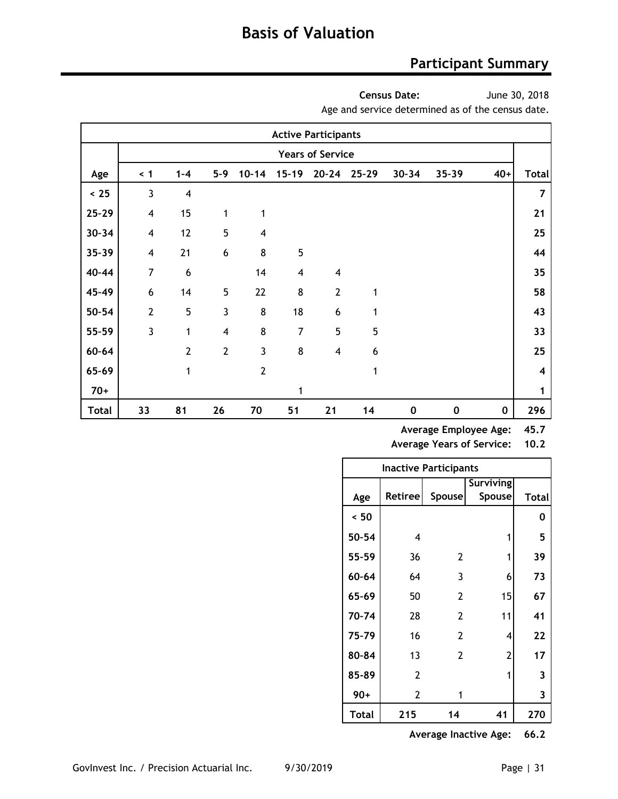### **Participant Summary**

**Census Date:**

June 30, 2018

Age and service determined as of the census date.

|              |                          |                         |                  |                         |                         | <b>Active Participants</b> |           |           |           |          |                         |
|--------------|--------------------------|-------------------------|------------------|-------------------------|-------------------------|----------------------------|-----------|-----------|-----------|----------|-------------------------|
|              |                          |                         |                  |                         |                         | <b>Years of Service</b>    |           |           |           |          |                         |
| Age          | $\leq 1$                 | $1 - 4$                 | $5 - 9$          | $10 - 14$               | $15 - 19$               | $20 - 24$                  | $25 - 29$ | $30 - 34$ | 35-39     | $40+$    | <b>Total</b>            |
| < 25         | 3                        | $\overline{\mathbf{4}}$ |                  |                         |                         |                            |           |           |           |          | $\overline{\mathbf{z}}$ |
| $25 - 29$    | $\overline{\mathbf{4}}$  | 15                      | 1                | 1                       |                         |                            |           |           |           |          | 21                      |
| $30 - 34$    | $\overline{\mathbf{4}}$  | 12                      | 5                | $\overline{\mathbf{4}}$ |                         |                            |           |           |           |          | 25                      |
| $35 - 39$    | $\overline{\mathcal{A}}$ | 21                      | $\boldsymbol{6}$ | 8                       | 5                       |                            |           |           |           |          | 44                      |
| 40-44        | $\overline{7}$           | 6                       |                  | 14                      | $\overline{\mathbf{4}}$ | $\overline{4}$             |           |           |           |          | 35                      |
| 45-49        | 6                        | 14                      | 5                | 22                      | 8                       | $\overline{2}$             | 1         |           |           |          | 58                      |
| $50 - 54$    | $\overline{2}$           | 5                       | $\overline{3}$   | 8                       | 18                      | 6                          | 1         |           |           |          | 43                      |
| 55-59        | 3                        | 1                       | $\overline{4}$   | 8                       | $\overline{7}$          | 5                          | 5         |           |           |          | 33                      |
| $60 - 64$    |                          | $\overline{2}$          | $\overline{2}$   | 3                       | 8                       | $\overline{4}$             | 6         |           |           |          | 25                      |
| 65-69        |                          | 1                       |                  | $\overline{2}$          |                         |                            | 1         |           |           |          | 4                       |
| $70+$        |                          |                         |                  |                         | 1                       |                            |           |           |           |          | 1                       |
| <b>Total</b> | 33                       | 81                      | 26               | 70                      | 51                      | 21                         | 14        | 0         | $\pmb{0}$ | $\bf{0}$ | 296                     |

**Average Employee Age: 45.7**

**Average Years of Service: 10.2**

|              | Inactive Participants |                |                  |              |
|--------------|-----------------------|----------------|------------------|--------------|
|              |                       |                | <b>Surviving</b> |              |
| Age          | Retiree               | <b>Spouse</b>  | <b>Spouse</b>    | <b>Total</b> |
| ~< 50        |                       |                |                  | 0            |
| 50-54        | 4                     |                | 1                | 5            |
| 55-59        | 36                    | 2              | 1                | 39           |
| 60-64        | 64                    | 3              | 6                | 73           |
| 65-69        | 50                    | $\overline{2}$ | 15               | 67           |
| 70-74        | 28                    | $\overline{2}$ | 11               | 41           |
| 75-79        | 16                    | $\overline{2}$ | 4                | 22           |
| 80-84        | 13                    | $\overline{2}$ | 2                | 17           |
| 85-89        | 2                     |                | 1                | 3            |
| 90+          | $\overline{2}$        | 1              |                  | 3            |
| <b>Total</b> | 215                   | 14             | 41               | 270          |

**Average Inactive Age: 66.2**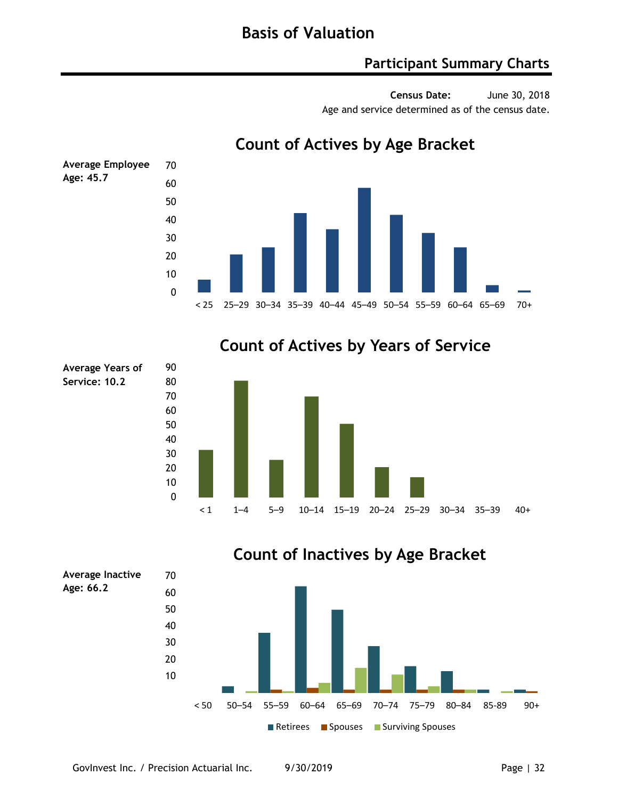### **Participant Summary Charts**

**Census Date:** June 30, 2018 Age and service determined as of the census date.



**Count of Actives by Age Bracket**

### **Count of Actives by Years of Service**





### **Count of Inactives by Age Bracket**

**Service: 10.2**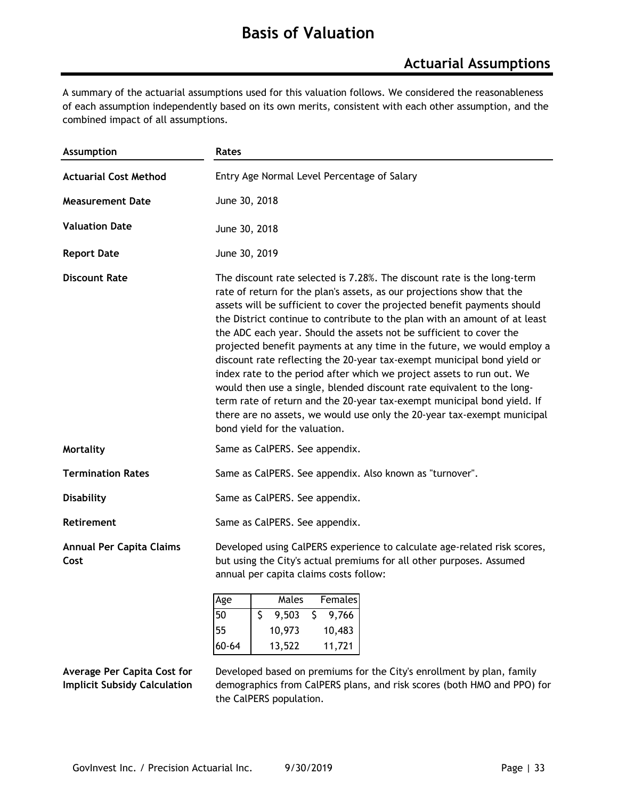### **Basis of Valuation**

### **Actuarial Assumptions**

A summary of the actuarial assumptions used for this valuation follows. We considered the reasonableness of each assumption independently based on its own merits, consistent with each other assumption, and the combined impact of all assumptions.

| <b>Assumption</b>                       | Rates                                                                                                                                                                                                                                                                                                                                                                                                                                                                                                                                                                                                                                                                                                                                                                                                                                                                              |  |
|-----------------------------------------|------------------------------------------------------------------------------------------------------------------------------------------------------------------------------------------------------------------------------------------------------------------------------------------------------------------------------------------------------------------------------------------------------------------------------------------------------------------------------------------------------------------------------------------------------------------------------------------------------------------------------------------------------------------------------------------------------------------------------------------------------------------------------------------------------------------------------------------------------------------------------------|--|
| <b>Actuarial Cost Method</b>            | Entry Age Normal Level Percentage of Salary                                                                                                                                                                                                                                                                                                                                                                                                                                                                                                                                                                                                                                                                                                                                                                                                                                        |  |
| <b>Measurement Date</b>                 | June 30, 2018                                                                                                                                                                                                                                                                                                                                                                                                                                                                                                                                                                                                                                                                                                                                                                                                                                                                      |  |
| <b>Valuation Date</b>                   | June 30, 2018                                                                                                                                                                                                                                                                                                                                                                                                                                                                                                                                                                                                                                                                                                                                                                                                                                                                      |  |
| <b>Report Date</b>                      | June 30, 2019                                                                                                                                                                                                                                                                                                                                                                                                                                                                                                                                                                                                                                                                                                                                                                                                                                                                      |  |
| <b>Discount Rate</b>                    | The discount rate selected is 7.28%. The discount rate is the long-term<br>rate of return for the plan's assets, as our projections show that the<br>assets will be sufficient to cover the projected benefit payments should<br>the District continue to contribute to the plan with an amount of at least<br>the ADC each year. Should the assets not be sufficient to cover the<br>projected benefit payments at any time in the future, we would employ a<br>discount rate reflecting the 20-year tax-exempt municipal bond yield or<br>index rate to the period after which we project assets to run out. We<br>would then use a single, blended discount rate equivalent to the long-<br>term rate of return and the 20-year tax-exempt municipal bond yield. If<br>there are no assets, we would use only the 20-year tax-exempt municipal<br>bond vield for the valuation. |  |
| <b>Mortality</b>                        | Same as CalPERS. See appendix.                                                                                                                                                                                                                                                                                                                                                                                                                                                                                                                                                                                                                                                                                                                                                                                                                                                     |  |
| <b>Termination Rates</b>                | Same as CalPERS. See appendix. Also known as "turnover".                                                                                                                                                                                                                                                                                                                                                                                                                                                                                                                                                                                                                                                                                                                                                                                                                           |  |
| <b>Disability</b>                       | Same as CalPERS. See appendix.                                                                                                                                                                                                                                                                                                                                                                                                                                                                                                                                                                                                                                                                                                                                                                                                                                                     |  |
| <b>Retirement</b>                       | Same as CalPERS. See appendix.                                                                                                                                                                                                                                                                                                                                                                                                                                                                                                                                                                                                                                                                                                                                                                                                                                                     |  |
| <b>Annual Per Capita Claims</b><br>Cost | Developed using CalPERS experience to calculate age-related risk scores,<br>but using the City's actual premiums for all other purposes. Assumed<br>annual per capita claims costs follow:<br>Males<br><b>Females</b><br>Age                                                                                                                                                                                                                                                                                                                                                                                                                                                                                                                                                                                                                                                       |  |

| Age   | Males  | Females |
|-------|--------|---------|
| 150   | 9.503  | 9,766   |
| 155   | 10,973 | 10,483  |
| 60-64 | 13,522 | 11,721  |

#### **Average Per Capita Cost for Implicit Subsidy Calculation**

Developed based on premiums for the City's enrollment by plan, family demographics from CalPERS plans, and risk scores (both HMO and PPO) for the CalPERS population.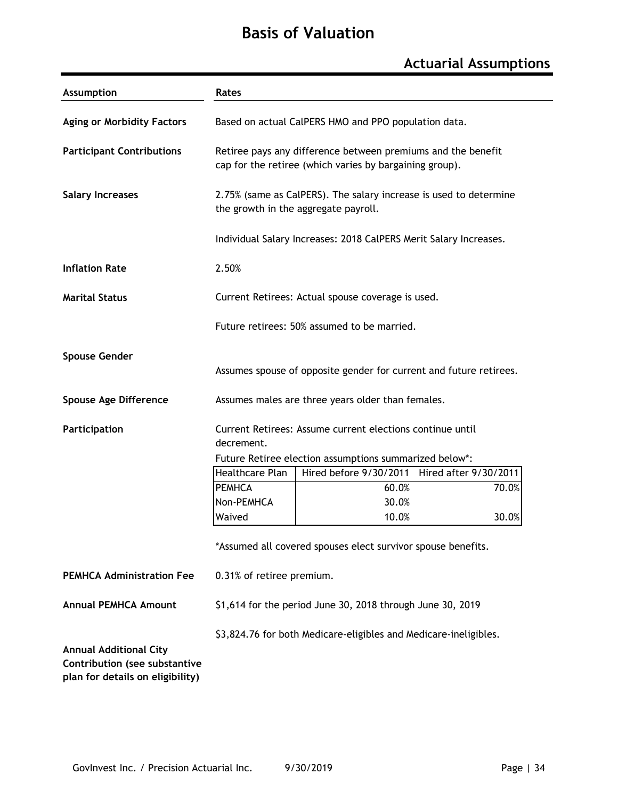## **Basis of Valuation**

## **Actuarial Assumptions**

| Assumption                                                                                         | Rates<br>Based on actual CalPERS HMO and PPO population data.      |                                                                                                                         |                       |       |  |  |  |  |
|----------------------------------------------------------------------------------------------------|--------------------------------------------------------------------|-------------------------------------------------------------------------------------------------------------------------|-----------------------|-------|--|--|--|--|
| <b>Aging or Morbidity Factors</b>                                                                  |                                                                    |                                                                                                                         |                       |       |  |  |  |  |
| <b>Participant Contributions</b>                                                                   |                                                                    | Retiree pays any difference between premiums and the benefit<br>cap for the retiree (which varies by bargaining group). |                       |       |  |  |  |  |
| <b>Salary Increases</b>                                                                            |                                                                    | 2.75% (same as CalPERS). The salary increase is used to determine<br>the growth in the aggregate payroll.               |                       |       |  |  |  |  |
|                                                                                                    |                                                                    | Individual Salary Increases: 2018 CalPERS Merit Salary Increases.                                                       |                       |       |  |  |  |  |
| <b>Inflation Rate</b>                                                                              | 2.50%                                                              |                                                                                                                         |                       |       |  |  |  |  |
| <b>Marital Status</b>                                                                              |                                                                    | Current Retirees: Actual spouse coverage is used.                                                                       |                       |       |  |  |  |  |
|                                                                                                    | Future retirees: 50% assumed to be married.                        |                                                                                                                         |                       |       |  |  |  |  |
| <b>Spouse Gender</b>                                                                               | Assumes spouse of opposite gender for current and future retirees. |                                                                                                                         |                       |       |  |  |  |  |
| <b>Spouse Age Difference</b>                                                                       |                                                                    | Assumes males are three years older than females.                                                                       |                       |       |  |  |  |  |
| Participation                                                                                      | decrement.                                                         | Current Retirees: Assume current elections continue until                                                               |                       |       |  |  |  |  |
|                                                                                                    |                                                                    | Future Retiree election assumptions summarized below*:                                                                  |                       |       |  |  |  |  |
|                                                                                                    | Healthcare Plan                                                    | Hired before 9/30/2011                                                                                                  | Hired after 9/30/2011 |       |  |  |  |  |
|                                                                                                    | <b>PEMHCA</b>                                                      | 60.0%                                                                                                                   |                       | 70.0% |  |  |  |  |
|                                                                                                    | Non-PEMHCA<br>Waived                                               | 30.0%<br>10.0%                                                                                                          |                       | 30.0% |  |  |  |  |
|                                                                                                    | *Assumed all covered spouses elect survivor spouse benefits.       |                                                                                                                         |                       |       |  |  |  |  |
| <b>PEMHCA Administration Fee</b>                                                                   | 0.31% of retiree premium.                                          |                                                                                                                         |                       |       |  |  |  |  |
| <b>Annual PEMHCA Amount</b>                                                                        |                                                                    | \$1,614 for the period June 30, 2018 through June 30, 2019                                                              |                       |       |  |  |  |  |
|                                                                                                    | \$3,824.76 for both Medicare-eligibles and Medicare-ineligibles.   |                                                                                                                         |                       |       |  |  |  |  |
| <b>Annual Additional City</b><br>Contribution (see substantive<br>plan for details on eligibility) |                                                                    |                                                                                                                         |                       |       |  |  |  |  |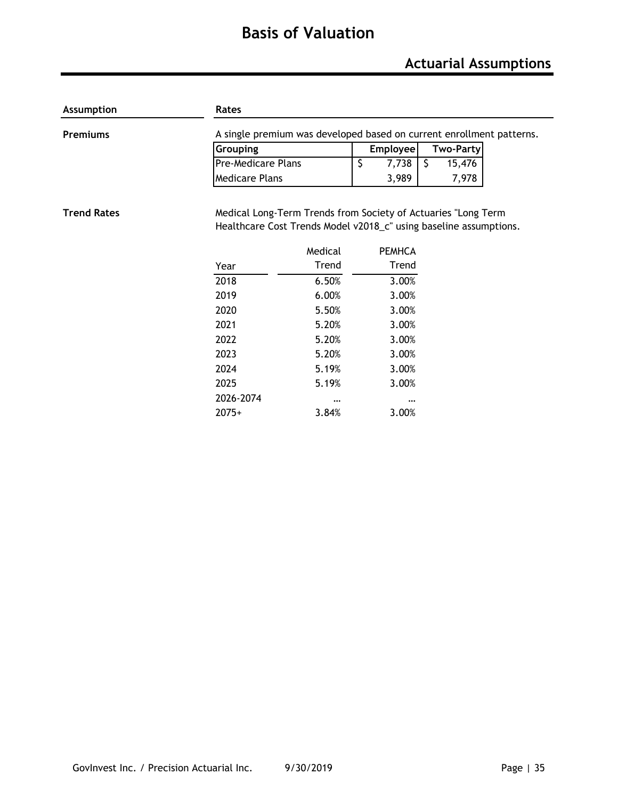## **Basis of Valuation**

## **Actuarial Assumptions**

| Assumption         | Rates                                                                                                                              |          |                                  |                  |  |  |  |  |  |
|--------------------|------------------------------------------------------------------------------------------------------------------------------------|----------|----------------------------------|------------------|--|--|--|--|--|
| Premiums           | A single premium was developed based on current enrollment patterns.                                                               |          |                                  |                  |  |  |  |  |  |
|                    | Grouping                                                                                                                           |          | Employee                         | <b>Two-Party</b> |  |  |  |  |  |
|                    | Pre-Medicare Plans                                                                                                                 |          | $\overline{\mathsf{S}}$<br>7,738 | \$<br>15,476     |  |  |  |  |  |
|                    | <b>Medicare Plans</b>                                                                                                              |          | 3,989                            | 7,978            |  |  |  |  |  |
| <b>Trend Rates</b> |                                                                                                                                    |          |                                  |                  |  |  |  |  |  |
|                    | Medical Long-Term Trends from Society of Actuaries "Long Term<br>Healthcare Cost Trends Model v2018_c" using baseline assumptions. |          |                                  |                  |  |  |  |  |  |
|                    |                                                                                                                                    |          |                                  |                  |  |  |  |  |  |
|                    |                                                                                                                                    | Medical  | <b>PEMHCA</b>                    |                  |  |  |  |  |  |
|                    | Year                                                                                                                               | Trend    | Trend                            |                  |  |  |  |  |  |
|                    | 2018                                                                                                                               | 6.50%    | 3.00%                            |                  |  |  |  |  |  |
|                    | 2019                                                                                                                               | 6.00%    | 3.00%                            |                  |  |  |  |  |  |
|                    | 2020                                                                                                                               | 5.50%    | 3.00%                            |                  |  |  |  |  |  |
|                    | 2021                                                                                                                               | 5.20%    | 3.00%                            |                  |  |  |  |  |  |
|                    | 2022                                                                                                                               | 5.20%    | 3.00%                            |                  |  |  |  |  |  |
|                    | 2023                                                                                                                               | 5.20%    | 3.00%                            |                  |  |  |  |  |  |
|                    | 2024                                                                                                                               | 5.19%    | 3.00%                            |                  |  |  |  |  |  |
|                    | 2025                                                                                                                               | 5.19%    | 3.00%                            |                  |  |  |  |  |  |
|                    | 2026-2074                                                                                                                          | $\cdots$ |                                  |                  |  |  |  |  |  |
|                    | $2075+$                                                                                                                            | 3.84%    | 3.00%                            |                  |  |  |  |  |  |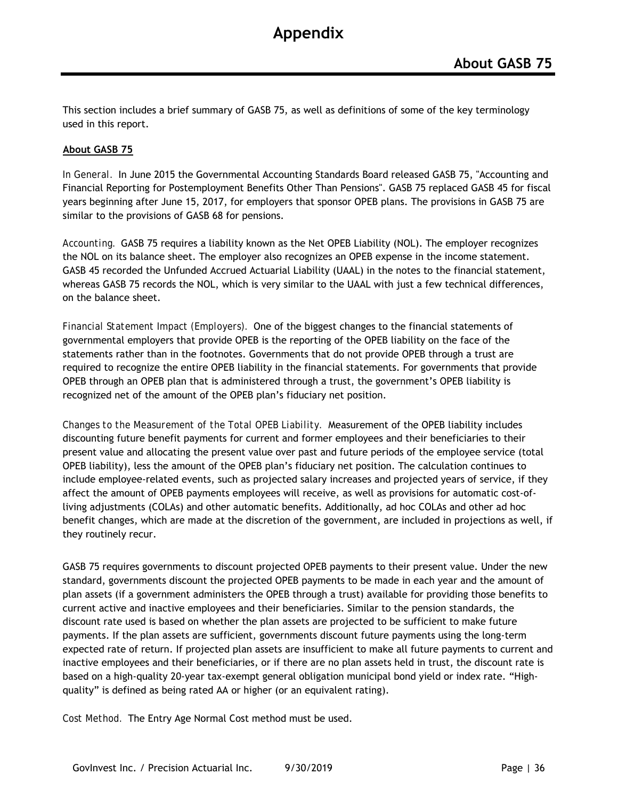This section includes a brief summary of GASB 75, as well as definitions of some of the key terminology used in this report.

#### **About GASB 75**

*In General.* In June 2015 the Governmental Accounting Standards Board released GASB 75, "Accounting and Financial Reporting for Postemployment Benefits Other Than Pensions". GASB 75 replaced GASB 45 for fiscal years beginning after June 15, 2017, for employers that sponsor OPEB plans. The provisions in GASB 75 are similar to the provisions of GASB 68 for pensions.

*Accounting.* GASB 75 requires a liability known as the Net OPEB Liability (NOL). The employer recognizes the NOL on its balance sheet. The employer also recognizes an OPEB expense in the income statement. GASB 45 recorded the Unfunded Accrued Actuarial Liability (UAAL) in the notes to the financial statement, whereas GASB 75 records the NOL, which is very similar to the UAAL with just a few technical differences, on the balance sheet.

*Financial Statement Impact (Employers).* One of the biggest changes to the financial statements of governmental employers that provide OPEB is the reporting of the OPEB liability on the face of the statements rather than in the footnotes. Governments that do not provide OPEB through a trust are required to recognize the entire OPEB liability in the financial statements. For governments that provide OPEB through an OPEB plan that is administered through a trust, the government's OPEB liability is recognized net of the amount of the OPEB plan's fiduciary net position.

*Changes to the Measurement of the Total OPEB Liability.* Measurement of the OPEB liability includes discounting future benefit payments for current and former employees and their beneficiaries to their present value and allocating the present value over past and future periods of the employee service (total OPEB liability), less the amount of the OPEB plan's fiduciary net position. The calculation continues to include employee-related events, such as projected salary increases and projected years of service, if they affect the amount of OPEB payments employees will receive, as well as provisions for automatic cost-ofliving adjustments (COLAs) and other automatic benefits. Additionally, ad hoc COLAs and other ad hoc benefit changes, which are made at the discretion of the government, are included in projections as well, if they routinely recur.

GASB 75 requires governments to discount projected OPEB payments to their present value. Under the new standard, governments discount the projected OPEB payments to be made in each year and the amount of plan assets (if a government administers the OPEB through a trust) available for providing those benefits to current active and inactive employees and their beneficiaries. Similar to the pension standards, the discount rate used is based on whether the plan assets are projected to be sufficient to make future payments. If the plan assets are sufficient, governments discount future payments using the long-term expected rate of return. If projected plan assets are insufficient to make all future payments to current and inactive employees and their beneficiaries, or if there are no plan assets held in trust, the discount rate is based on a high-quality 20-year tax-exempt general obligation municipal bond yield or index rate. "Highquality" is defined as being rated AA or higher (or an equivalent rating).

*Cost Method.* The Entry Age Normal Cost method must be used.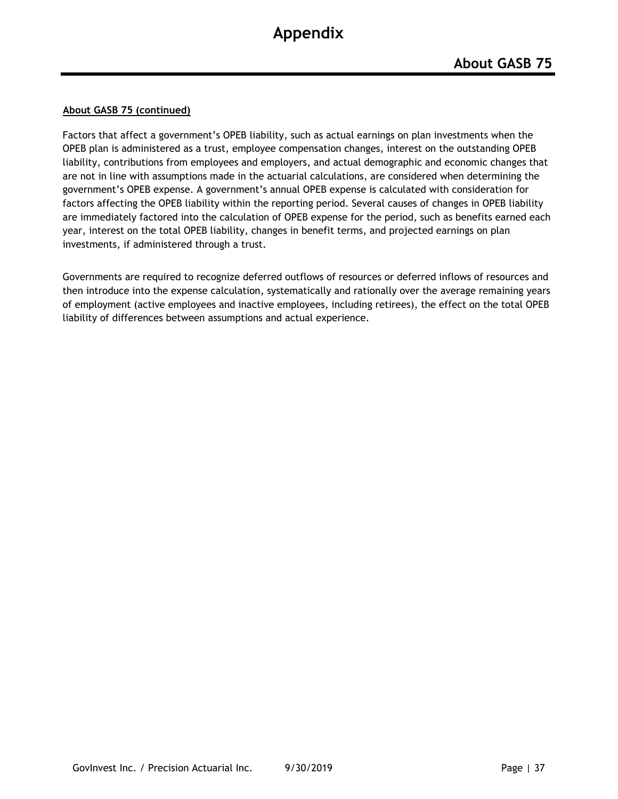#### **About GASB 75 (continued)**

Factors that affect a government's OPEB liability, such as actual earnings on plan investments when the OPEB plan is administered as a trust, employee compensation changes, interest on the outstanding OPEB liability, contributions from employees and employers, and actual demographic and economic changes that are not in line with assumptions made in the actuarial calculations, are considered when determining the government's OPEB expense. A government's annual OPEB expense is calculated with consideration for factors affecting the OPEB liability within the reporting period. Several causes of changes in OPEB liability are immediately factored into the calculation of OPEB expense for the period, such as benefits earned each year, interest on the total OPEB liability, changes in benefit terms, and projected earnings on plan investments, if administered through a trust.

Governments are required to recognize deferred outflows of resources or deferred inflows of resources and then introduce into the expense calculation, systematically and rationally over the average remaining years of employment (active employees and inactive employees, including retirees), the effect on the total OPEB liability of differences between assumptions and actual experience.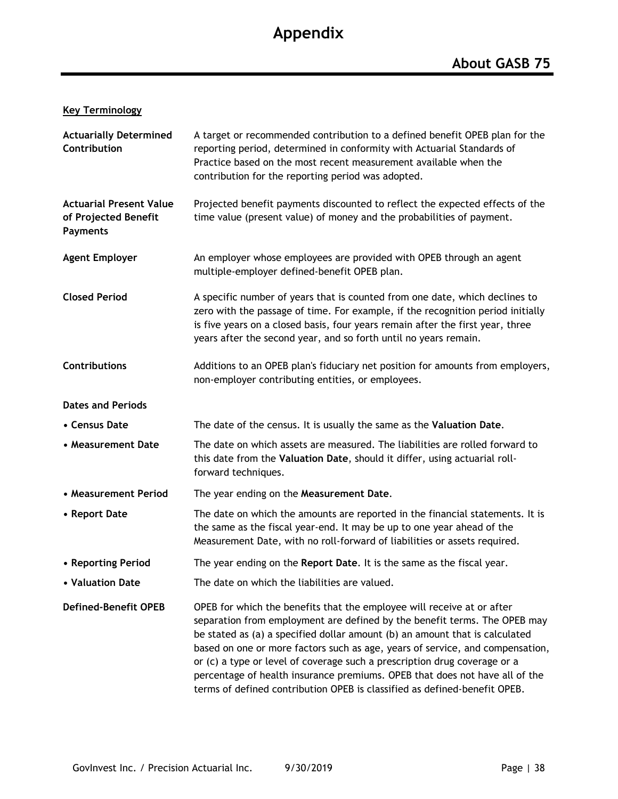### **Key Terminology**

| <b>Actuarially Determined</b><br>Contribution                             | A target or recommended contribution to a defined benefit OPEB plan for the<br>reporting period, determined in conformity with Actuarial Standards of<br>Practice based on the most recent measurement available when the<br>contribution for the reporting period was adopted.                                                                                                                                                                                                                                                                              |
|---------------------------------------------------------------------------|--------------------------------------------------------------------------------------------------------------------------------------------------------------------------------------------------------------------------------------------------------------------------------------------------------------------------------------------------------------------------------------------------------------------------------------------------------------------------------------------------------------------------------------------------------------|
| <b>Actuarial Present Value</b><br>of Projected Benefit<br><b>Payments</b> | Projected benefit payments discounted to reflect the expected effects of the<br>time value (present value) of money and the probabilities of payment.                                                                                                                                                                                                                                                                                                                                                                                                        |
| <b>Agent Employer</b>                                                     | An employer whose employees are provided with OPEB through an agent<br>multiple-employer defined-benefit OPEB plan.                                                                                                                                                                                                                                                                                                                                                                                                                                          |
| <b>Closed Period</b>                                                      | A specific number of years that is counted from one date, which declines to<br>zero with the passage of time. For example, if the recognition period initially<br>is five years on a closed basis, four years remain after the first year, three<br>years after the second year, and so forth until no years remain.                                                                                                                                                                                                                                         |
| <b>Contributions</b>                                                      | Additions to an OPEB plan's fiduciary net position for amounts from employers,<br>non-employer contributing entities, or employees.                                                                                                                                                                                                                                                                                                                                                                                                                          |
| <b>Dates and Periods</b>                                                  |                                                                                                                                                                                                                                                                                                                                                                                                                                                                                                                                                              |
| • Census Date                                                             | The date of the census. It is usually the same as the Valuation Date.                                                                                                                                                                                                                                                                                                                                                                                                                                                                                        |
| • Measurement Date                                                        | The date on which assets are measured. The liabilities are rolled forward to<br>this date from the Valuation Date, should it differ, using actuarial roll-<br>forward techniques.                                                                                                                                                                                                                                                                                                                                                                            |
| • Measurement Period                                                      | The year ending on the Measurement Date.                                                                                                                                                                                                                                                                                                                                                                                                                                                                                                                     |
| • Report Date                                                             | The date on which the amounts are reported in the financial statements. It is<br>the same as the fiscal year-end. It may be up to one year ahead of the<br>Measurement Date, with no roll-forward of liabilities or assets required.                                                                                                                                                                                                                                                                                                                         |
| • Reporting Period                                                        | The year ending on the Report Date. It is the same as the fiscal year.                                                                                                                                                                                                                                                                                                                                                                                                                                                                                       |
| • Valuation Date                                                          | The date on which the liabilities are valued.                                                                                                                                                                                                                                                                                                                                                                                                                                                                                                                |
| <b>Defined-Benefit OPEB</b>                                               | OPEB for which the benefits that the employee will receive at or after<br>separation from employment are defined by the benefit terms. The OPEB may<br>be stated as (a) a specified dollar amount (b) an amount that is calculated<br>based on one or more factors such as age, years of service, and compensation,<br>or (c) a type or level of coverage such a prescription drug coverage or a<br>percentage of health insurance premiums. OPEB that does not have all of the<br>terms of defined contribution OPEB is classified as defined-benefit OPEB. |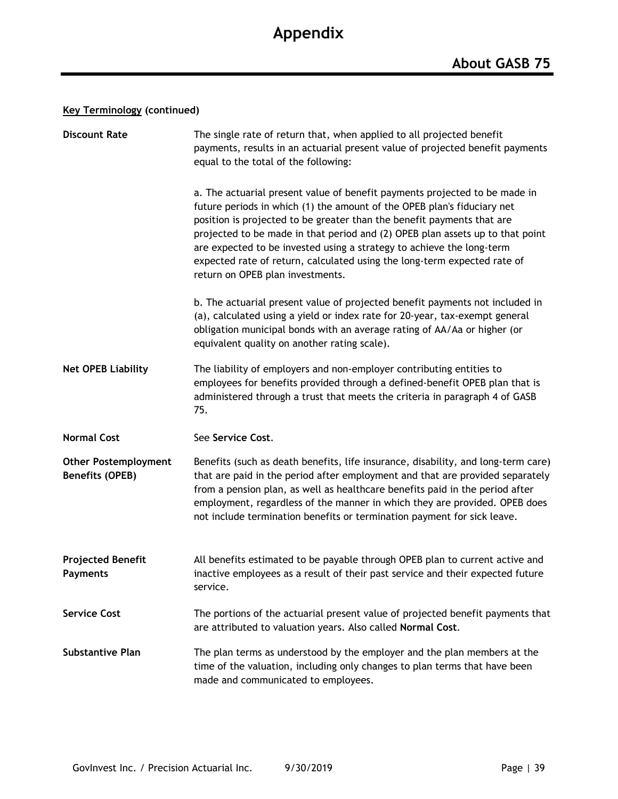### **Key Terminology (continued)**

| <b>Discount Rate</b>                           | The single rate of return that, when applied to all projected benefit<br>payments, results in an actuarial present value of projected benefit payments<br>equal to the total of the following:                                                                                                                                                                                                                                                                                                            |  |  |  |  |  |  |
|------------------------------------------------|-----------------------------------------------------------------------------------------------------------------------------------------------------------------------------------------------------------------------------------------------------------------------------------------------------------------------------------------------------------------------------------------------------------------------------------------------------------------------------------------------------------|--|--|--|--|--|--|
|                                                | a. The actuarial present value of benefit payments projected to be made in<br>future periods in which (1) the amount of the OPEB plan's fiduciary net<br>position is projected to be greater than the benefit payments that are<br>projected to be made in that period and (2) OPEB plan assets up to that point<br>are expected to be invested using a strategy to achieve the long-term<br>expected rate of return, calculated using the long-term expected rate of<br>return on OPEB plan investments. |  |  |  |  |  |  |
|                                                | b. The actuarial present value of projected benefit payments not included in<br>(a), calculated using a yield or index rate for 20-year, tax-exempt general<br>obligation municipal bonds with an average rating of AA/Aa or higher (or<br>equivalent quality on another rating scale).                                                                                                                                                                                                                   |  |  |  |  |  |  |
| <b>Net OPEB Liability</b>                      | The liability of employers and non-employer contributing entities to<br>employees for benefits provided through a defined-benefit OPEB plan that is<br>administered through a trust that meets the criteria in paragraph 4 of GASB<br>75.                                                                                                                                                                                                                                                                 |  |  |  |  |  |  |
| <b>Normal Cost</b>                             | See Service Cost.                                                                                                                                                                                                                                                                                                                                                                                                                                                                                         |  |  |  |  |  |  |
| <b>Other Postemployment</b><br>Benefits (OPEB) | Benefits (such as death benefits, life insurance, disability, and long-term care)<br>that are paid in the period after employment and that are provided separately<br>from a pension plan, as well as healthcare benefits paid in the period after<br>employment, regardless of the manner in which they are provided. OPEB does<br>not include termination benefits or termination payment for sick leave.                                                                                               |  |  |  |  |  |  |
| <b>Projected Benefit</b><br>Payments           | All benefits estimated to be payable through OPEB plan to current active and<br>inactive employees as a result of their past service and their expected future<br>service.                                                                                                                                                                                                                                                                                                                                |  |  |  |  |  |  |
| <b>Service Cost</b>                            | The portions of the actuarial present value of projected benefit payments that<br>are attributed to valuation years. Also called Normal Cost.                                                                                                                                                                                                                                                                                                                                                             |  |  |  |  |  |  |
| <b>Substantive Plan</b>                        | The plan terms as understood by the employer and the plan members at the<br>time of the valuation, including only changes to plan terms that have been<br>made and communicated to employees.                                                                                                                                                                                                                                                                                                             |  |  |  |  |  |  |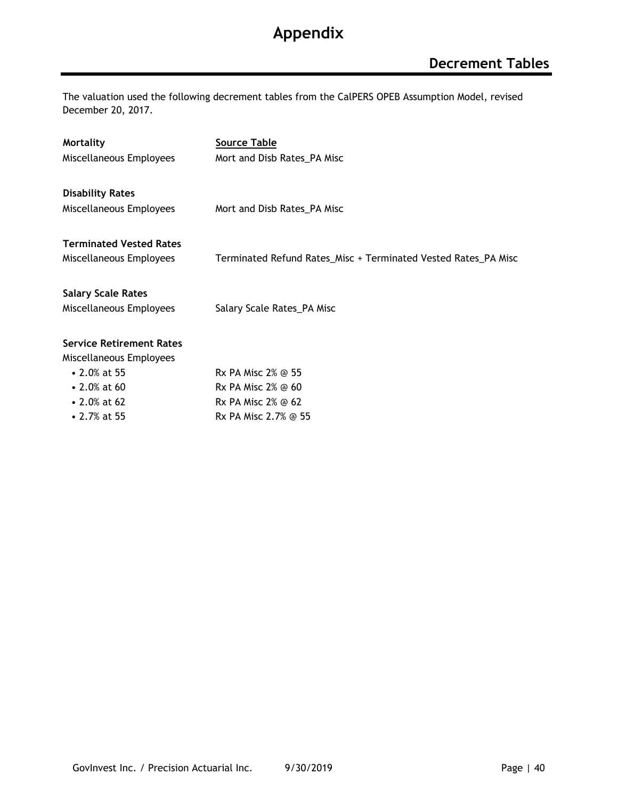The valuation used the following decrement tables from the CalPERS OPEB Assumption Model, revised December 20, 2017.

| <b>Mortality</b>                | <b>Source Table</b>                                            |
|---------------------------------|----------------------------------------------------------------|
| Miscellaneous Employees         | Mort and Disb Rates_PA Misc                                    |
|                                 |                                                                |
| <b>Disability Rates</b>         |                                                                |
| Miscellaneous Employees         | Mort and Disb Rates_PA Misc                                    |
|                                 |                                                                |
| <b>Terminated Vested Rates</b>  |                                                                |
| Miscellaneous Employees         | Terminated Refund Rates_Misc + Terminated Vested Rates_PA Misc |
|                                 |                                                                |
| <b>Salary Scale Rates</b>       |                                                                |
| Miscellaneous Employees         | Salary Scale Rates_PA Misc                                     |
|                                 |                                                                |
| <b>Service Retirement Rates</b> |                                                                |
| Miscellaneous Employees         |                                                                |
| • 2.0% at 55                    | Rx PA Misc 2% @ 55                                             |
| $\cdot$ 2.0% at 60              | Rx PA Misc 2% @ 60                                             |
| $\cdot$ 2.0% at 62              | Rx PA Misc 2% @ 62                                             |
| • 2.7% at 55                    | Rx PA Misc 2.7% @ 55                                           |
|                                 |                                                                |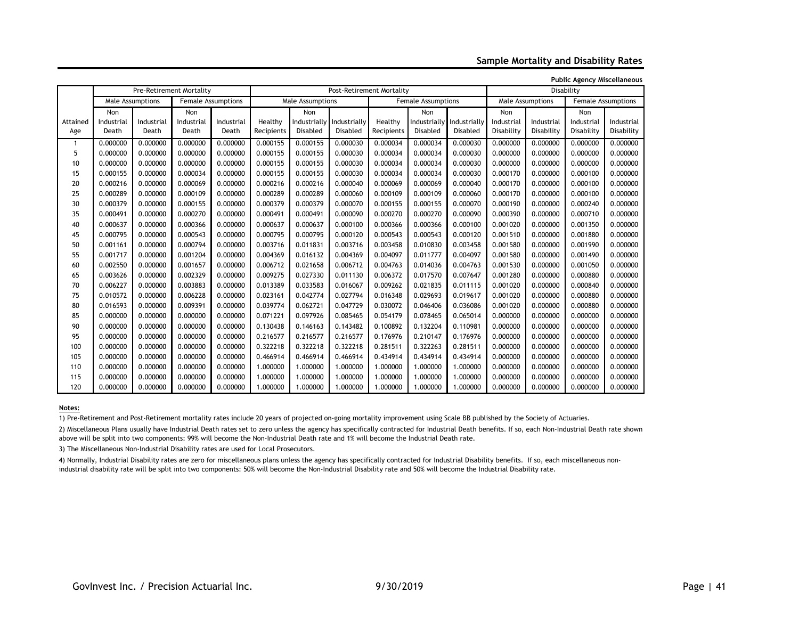**Sample Mortality and Disability Rates**

**Public Agency Miscellaneous**

|          |                                        |            | Pre-Retirement Mortality |            |                  |              | Post-Retirement Mortality |            |                           |              | , apiic Agency miscenancous<br>Disability |                  |            |                           |  |
|----------|----------------------------------------|------------|--------------------------|------------|------------------|--------------|---------------------------|------------|---------------------------|--------------|-------------------------------------------|------------------|------------|---------------------------|--|
|          | Male Assumptions<br>Female Assumptions |            |                          |            | Male Assumptions |              |                           |            | <b>Female Assumptions</b> |              |                                           | Male Assumptions |            | <b>Female Assumptions</b> |  |
|          | Non                                    |            | Non                      |            |                  | Non          |                           |            | Non                       |              | <b>Non</b>                                |                  | <b>Non</b> |                           |  |
| Attained | Industrial                             | Industrial | Industrial               | Industrial | Healthy          | Industrially | Industrially              | Healthy    | Industrially              | Industrially | Industrial                                | Industrial       | Industrial | Industrial                |  |
| Age      | Death                                  | Death      | Death                    | Death      | Recipients       | Disabled     | Disabled                  | Recipients | Disabled                  | Disabled     | Disability                                | Disability       | Disability | Disability                |  |
| 1        | 0.000000                               | 0.000000   | 0.000000                 | 0.000000   | 0.000155         | 0.000155     | 0.000030                  | 0.000034   | 0.000034                  | 0.000030     | 0.000000                                  | 0.000000         | 0.000000   | 0.000000                  |  |
| 5        | 0.000000                               | 0.000000   | 0.000000                 | 0.000000   | 0.000155         | 0.000155     | 0.000030                  | 0.000034   | 0.000034                  | 0.000030     | 0.000000                                  | 0.000000         | 0.000000   | 0.000000                  |  |
| 10       | 0.000000                               | 0.000000   | 0.000000                 | 0.000000   | 0.000155         | 0.000155     | 0.000030                  | 0.000034   | 0.000034                  | 0.000030     | 0.000000                                  | 0.000000         | 0.000000   | 0.000000                  |  |
| 15       | 0.000155                               | 0.000000   | 0.000034                 | 0.000000   | 0.000155         | 0.000155     | 0.000030                  | 0.000034   | 0.000034                  | 0.000030     | 0.000170                                  | 0.000000         | 0.000100   | 0.000000                  |  |
| 20       | 0.000216                               | 0.000000   | 0.000069                 | 0.000000   | 0.000216         | 0.000216     | 0.000040                  | 0.000069   | 0.000069                  | 0.000040     | 0.000170                                  | 0.000000         | 0.000100   | 0.000000                  |  |
| 25       | 0.000289                               | 0.000000   | 0.000109                 | 0.000000   | 0.000289         | 0.000289     | 0.000060                  | 0.000109   | 0.000109                  | 0.000060     | 0.000170                                  | 0.000000         | 0.000100   | 0.000000                  |  |
| 30       | 0.000379                               | 0.000000   | 0.000155                 | 0.000000   | 0.000379         | 0.000379     | 0.000070                  | 0.000155   | 0.000155                  | 0.000070     | 0.000190                                  | 0.000000         | 0.000240   | 0.000000                  |  |
| 35       | 0.000491                               | 0.000000   | 0.000270                 | 0.000000   | 0.000491         | 0.000491     | 0.000090                  | 0.000270   | 0.000270                  | 0.000090     | 0.000390                                  | 0.000000         | 0.000710   | 0.000000                  |  |
| 40       | 0.000637                               | 0.000000   | 0.000366                 | 0.000000   | 0.000637         | 0.000637     | 0.000100                  | 0.000366   | 0.000366                  | 0.000100     | 0.001020                                  | 0.000000         | 0.001350   | 0.000000                  |  |
| 45       | 0.000795                               | 0.000000   | 0.000543                 | 0.000000   | 0.000795         | 0.000795     | 0.000120                  | 0.000543   | 0.000543                  | 0.000120     | 0.001510                                  | 0.000000         | 0.001880   | 0.000000                  |  |
| 50       | 0.001161                               | 0.000000   | 0.000794                 | 0.000000   | 0.003716         | 0.011831     | 0.003716                  | 0.003458   | 0.010830                  | 0.003458     | 0.001580                                  | 0.000000         | 0.001990   | 0.000000                  |  |
| 55       | 0.001717                               | 0.000000   | 0.001204                 | 0.000000   | 0.004369         | 0.016132     | 0.004369                  | 0.004097   | 0.011777                  | 0.004097     | 0.001580                                  | 0.000000         | 0.001490   | 0.000000                  |  |
| 60       | 0.002550                               | 0.000000   | 0.001657                 | 0.000000   | 0.006712         | 0.021658     | 0.006712                  | 0.004763   | 0.014036                  | 0.004763     | 0.001530                                  | 0.000000         | 0.001050   | 0.000000                  |  |
| 65       | 0.003626                               | 0.000000   | 0.002329                 | 0.000000   | 0.009275         | 0.027330     | 0.011130                  | 0.006372   | 0.017570                  | 0.007647     | 0.001280                                  | 0.000000         | 0.000880   | 0.000000                  |  |
| 70       | 0.006227                               | 0.000000   | 0.003883                 | 0.000000   | 0.013389         | 0.033583     | 0.016067                  | 0.009262   | 0.021835                  | 0.011115     | 0.001020                                  | 0.000000         | 0.000840   | 0.000000                  |  |
| 75       | 0.010572                               | 0.000000   | 0.006228                 | 0.000000   | 0.023161         | 0.042774     | 0.027794                  | 0.016348   | 0.029693                  | 0.019617     | 0.001020                                  | 0.000000         | 0.000880   | 0.000000                  |  |
| 80       | 0.016593                               | 0.000000   | 0.009391                 | 0.000000   | 0.039774         | 0.062721     | 0.047729                  | 0.030072   | 0.046406                  | 0.036086     | 0.001020                                  | 0.000000         | 0.000880   | 0.000000                  |  |
| 85       | 0.000000                               | 0.000000   | 0.000000                 | 0.000000   | 0.071221         | 0.097926     | 0.085465                  | 0.054179   | 0.078465                  | 0.065014     | 0.000000                                  | 0.000000         | 0.000000   | 0.000000                  |  |
| 90       | 0.000000                               | 0.000000   | 0.000000                 | 0.000000   | 0.130438         | 0.146163     | 0.143482                  | 0.100892   | 0.132204                  | 0.110981     | 0.000000                                  | 0.000000         | 0.000000   | 0.000000                  |  |
| 95       | 0.000000                               | 0.000000   | 0.000000                 | 0.000000   | 0.216577         | 0.216577     | 0.216577                  | 0.176976   | 0.210147                  | 0.176976     | 0.000000                                  | 0.000000         | 0.000000   | 0.000000                  |  |
| 100      | 0.000000                               | 0.000000   | 0.000000                 | 0.000000   | 0.322218         | 0.322218     | 0.322218                  | 0.281511   | 0.322263                  | 0.281511     | 0.000000                                  | 0.000000         | 0.000000   | 0.000000                  |  |
| 105      | 0.000000                               | 0.000000   | 0.000000                 | 0.000000   | 0.466914         | 0.466914     | 0.466914                  | 0.434914   | 0.434914                  | 0.434914     | 0.000000                                  | 0.000000         | 0.000000   | 0.000000                  |  |
| 110      | 0.000000                               | 0.000000   | 0.000000                 | 0.000000   | 1.000000         | 1.000000     | 1.000000                  | 1.000000   | 1.000000                  | 1.000000     | 0.000000                                  | 0.000000         | 0.000000   | 0.000000                  |  |
| 115      | 0.000000                               | 0.000000   | 0.000000                 | 0.000000   | 1.000000         | 1.000000     | 1.000000                  | 1.000000   | 1.000000                  | 1.000000     | 0.000000                                  | 0.000000         | 0.000000   | 0.000000                  |  |
| 120      | 0.000000                               | 0.000000   | 0.000000                 | 0.000000   | 1.000000         | 1.000000     | 1.000000                  | 1.000000   | 1.000000                  | 1.000000     | 0.000000                                  | 0.000000         | 0.000000   | 0.000000                  |  |

#### **Notes:**

1) Pre-Retirement and Post-Retirement mortality rates include 20 years of projected on-going mortality improvement using Scale BB published by the Society of Actuaries.

2) Miscellaneous Plans usually have Industrial Death rates set to zero unless the agency has specifically contracted for Industrial Death benefits. If so, each Non-Industrial Death rate shown above will be split into two components: 99% will become the Non-Industrial Death rate and 1% will become the Industrial Death rate.

3) The Miscellaneous Non-Industrial Disability rates are used for Local Prosecutors.

4) Normally, Industrial Disability rates are zero for miscellaneous plans unless the agency has specifically contracted for Industrial Disability benefits. If so, each miscellaneous nonindustrial disability rate will be split into two components: 50% will become the Non-Industrial Disability rate and 50% will become the Industrial Disability rate.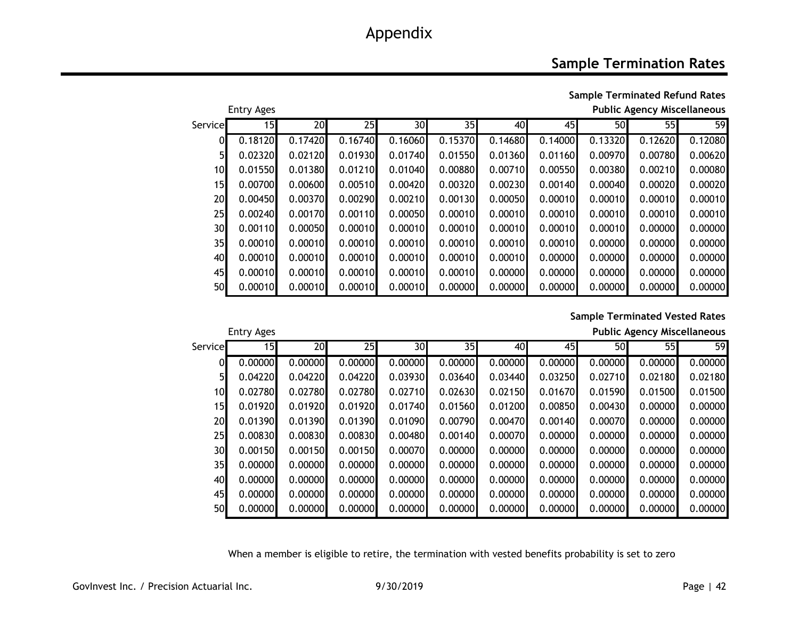### **Sample Termination Rates**

**Sample Terminated Refund Rates**

|                 | <b>Entry Ages</b> |         | <b>Public Agency Miscellaneous</b> |         |         |         |         |         |         |         |
|-----------------|-------------------|---------|------------------------------------|---------|---------|---------|---------|---------|---------|---------|
| Servicel        | 15 <sub>l</sub>   | 20      | 25                                 | 30      | 35I     | 40      | 45      | 50      | 55I     | 59      |
| 01              | 0.18120           | 0.17420 | 0.16740                            | 0.16060 | 0.15370 | 0.14680 | 0.14000 | 0.13320 | 0.12620 | 0.12080 |
| 51              | 0.02320           | 0.02120 | 0.01930                            | 0.01740 | 0.01550 | 0.01360 | 0.01160 | 0.00970 | 0.00780 | 0.00620 |
| 10              | 0.01550           | 0.01380 | 0.01210                            | 0.01040 | 0.00880 | 0.00710 | 0.00550 | 0.00380 | 0.00210 | 0.00080 |
| 15              | 0.00700           | 0.00600 | 0.00510                            | 0.00420 | 0.00320 | 0.00230 | 0.00140 | 0.00040 | 0.00020 | 0.00020 |
| 20              | 0.00450           | 0.00370 | 0.00290                            | 0.00210 | 0.00130 | 0.00050 | 0.00010 | 0.00010 | 0.00010 | 0.00010 |
| 25              | 0.00240           | 0.00170 | 0.00110                            | 0.00050 | 0.00010 | 0.00010 | 0.00010 | 0.00010 | 0.00010 | 0.00010 |
| 30 <sup>°</sup> | 0.00110           | 0.00050 | 0.00010                            | 0.00010 | 0.00010 | 0.00010 | 0.00010 | 0.00010 | 0.00000 | 0.00000 |
| 35              | 0.00010           | 0.00010 | 0.00010                            | 0.00010 | 0.00010 | 0.00010 | 0.00010 | 0.00000 | 0.00000 | 0.00000 |
| 40              | 0.00010           | 0.00010 | 0.00010                            | 0.00010 | 0.00010 | 0.00010 | 0.00000 | 0.00000 | 0.00000 | 0.00000 |
| 45              | 0.00010           | 0.00010 | 0.00010                            | 0.00010 | 0.00010 | 0.00000 | 0.00000 | 0.00000 | 0.00000 | 0.00000 |
| 50              | 0.00010           | 0.00010 | 0.00010                            | 0.00010 | 0.00000 | 0.00000 | 0.00000 | 0.00000 | 0.00000 | 0.00000 |

#### **Sample Terminated Vested Rates**

**Public Agency Miscellaneous** 

| Entry Ages |
|------------|
|------------|

| Service         | 15      | 20      | 25      | 30      | 35      | 40      | 45      | 50      | 55      | 59      |
|-----------------|---------|---------|---------|---------|---------|---------|---------|---------|---------|---------|
| 01              | 0.00000 | 0.00000 | 0.00000 | 0.00000 | 0.00000 | 0.00000 | 0.00000 | 0.00000 | 0.00000 | 0.00000 |
| 5 <sup>1</sup>  | 0.04220 | 0.04220 | 0.04220 | 0.03930 | 0.03640 | 0.03440 | 0.03250 | 0.02710 | 0.02180 | 0.02180 |
| 10 <sub>l</sub> | 0.02780 | 0.02780 | 0.02780 | 0.02710 | 0.02630 | 0.02150 | 0.01670 | 0.01590 | 0.01500 | 0.01500 |
| 15              | 0.01920 | 0.01920 | 0.01920 | 0.01740 | 0.01560 | 0.01200 | 0.00850 | 0.00430 | 0.00000 | 0.00000 |
| 20              | 0.01390 | 0.01390 | 0.01390 | 0.01090 | 0.00790 | 0.00470 | 0.00140 | 0.00070 | 0.00000 | 0.00000 |
| 25              | 0.00830 | 0.00830 | 0.00830 | 0.00480 | 0.00140 | 0.00070 | 0.00000 | 0.00000 | 0.00000 | 0.00000 |
| 30              | 0.00150 | 0.00150 | 0.00150 | 0.00070 | 0.00000 | 0.00000 | 0.00000 | 0.00000 | 0.00000 | 0.00000 |
| 35              | 0.00000 | 0.00000 | 0.00000 | 0.00000 | 0.00000 | 0.00000 | 0.00000 | 0.00000 | 0.00000 | 0.00000 |
| 40              | 0.00000 | 0.00000 | 0.00000 | 0.00000 | 0.00000 | 0.00000 | 0.00000 | 0.00000 | 0.00000 | 0.00000 |
| 45              | 0.00000 | 0.00000 | 0.00000 | 0.00000 | 0.00000 | 0.00000 | 0.00000 | 0.00000 | 0.00000 | 0.00000 |
| 50              | 0.00000 | 0.00000 | 0.00000 | 0.00000 | 0.00000 | 0.00000 | 0.00000 | 0.00000 | 0.00000 | 0.00000 |

When a member is eligible to retire, the termination with vested benefits probability is set to zero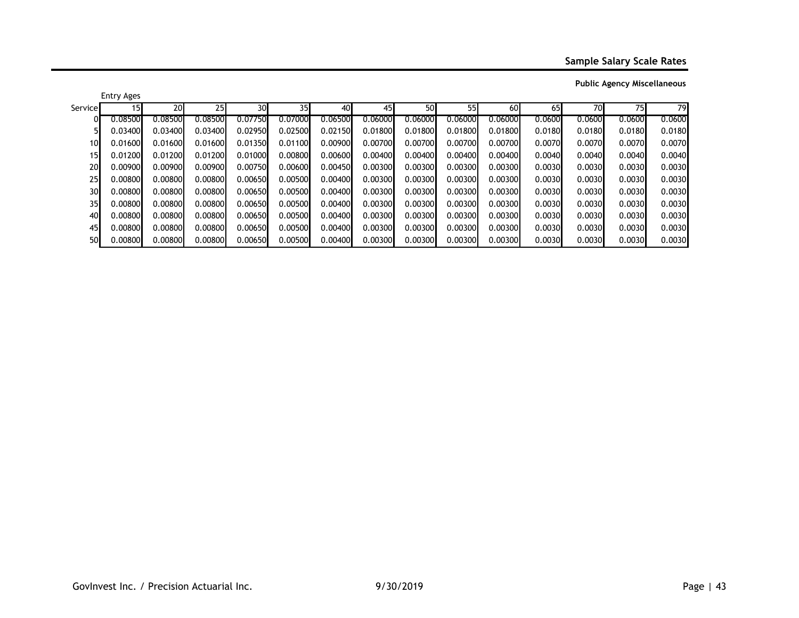**Sample Salary Scale Rates**

|                 | <b>Entry Ages</b> |         |                 |                 |                 |         |         |         |         |         |        |        |        |        |
|-----------------|-------------------|---------|-----------------|-----------------|-----------------|---------|---------|---------|---------|---------|--------|--------|--------|--------|
| Service         | 151               | 20      | 25 <sub>l</sub> | 30 <sup>l</sup> | 35 <sub>l</sub> | 40      | 45      | 50      | 55      | 60      | 65     | 70     | 75I    | 79     |
|                 | 0.08500           | 0.08500 | 0.08500         | 0.07750         | 0.07000         | 0.06500 | 0.06000 | 0.06000 | 0.06000 | 0.06000 | 0.0600 | 0.0600 | 0.0600 | 0.0600 |
|                 | 0.03400           | 0.03400 | 0.03400         | 0.02950         | 0.02500         | 0.02150 | 0.01800 | 0.01800 | 0.01800 | 0.01800 | 0.0180 | 0.0180 | 0.0180 | 0.0180 |
| 10              | 0.01600           | 0.01600 | 0.01600         | 0.01350         | 0.01100         | 0.00900 | 0.00700 | 0.00700 | 0.00700 | 0.00700 | 0.0070 | 0.0070 | 0.0070 | 0.0070 |
| 15              | 0.01200           | 0.01200 | 0.01200         | 0.01000         | 0.00800         | 0.00600 | 0.00400 | 0.00400 | 0.00400 | 0.00400 | 0.0040 | 0.0040 | 0.0040 | 0.0040 |
| 20              | 0.00900           | 0.00900 | 0.00900         | 0.00750         | 0.00600         | 0.00450 | 0.00300 | 0.00300 | 0.00300 | 0.00300 | 0.0030 | 0.0030 | 0.0030 | 0.0030 |
| 25              | 0.00800           | 0.00800 | 0.00800         | 0.00650         | 0.00500         | 0.00400 | 0.00300 | 0.00300 | 0.00300 | 0.00300 | 0.0030 | 0.0030 | 0.0030 | 0.0030 |
| 30              | 0.00800           | 0.00800 | 0.00800         | 0.00650         | 0.00500         | 0.00400 | 0.00300 | 0.00300 | 0.00300 | 0.00300 | 0.0030 | 0.0030 | 0.0030 | 0.0030 |
| 35 <sub>l</sub> | 0.00800           | 0.00800 | 0.00800         | 0.00650         | 0.00500         | 0.00400 | 0.00300 | 0.00300 | 0.00300 | 0.00300 | 0.0030 | 0.0030 | 0.0030 | 0.0030 |
| 40              | 0.00800           | 0.00800 | 0.00800         | 0.00650         | 0.00500         | 0.00400 | 0.00300 | 0.00300 | 0.00300 | 0.00300 | 0.0030 | 0.0030 | 0.0030 | 0.0030 |
| 45              | 0.00800           | 0.00800 | 0.00800         | 0.00650         | 0.00500         | 0.00400 | 0.00300 | 0.00300 | 0.00300 | 0.00300 | 0.0030 | 0.0030 | 0.0030 | 0.0030 |
| 50              | 0.00800           | 0.00800 | 0.00800         | 0.00650         | 0.00500         | 0.00400 | 0.00300 | 0.00300 | 0.00300 | 0.00300 | 0.0030 | 0.0030 | 0.0030 | 0.0030 |

**Public Agency Miscellaneous**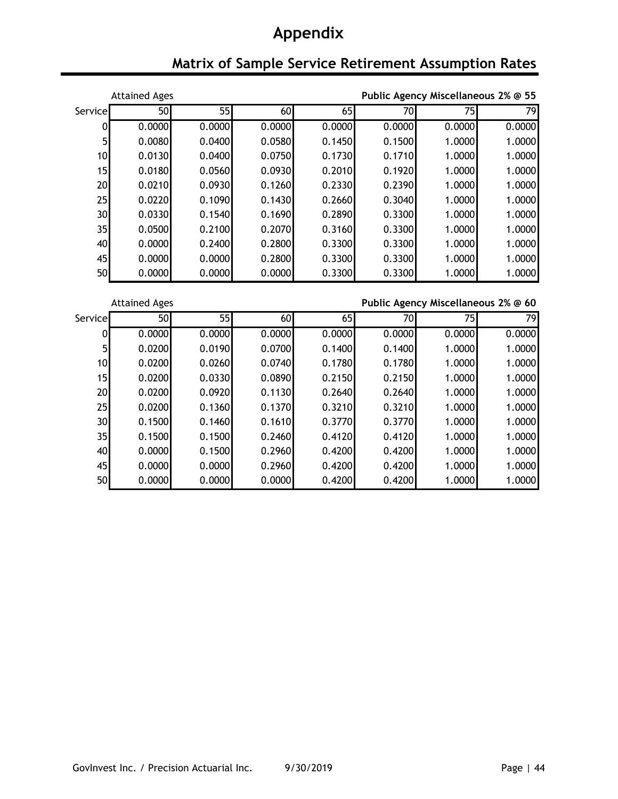## **Matrix of Sample Service Retirement Assumption Rates**

|                 | <b>Attained Ages</b> |        | Public Agency Miscellaneous 2% @ 55 |           |        |        |        |  |  |  |
|-----------------|----------------------|--------|-------------------------------------|-----------|--------|--------|--------|--|--|--|
| Service         | 50                   | 55     | 60                                  | <b>65</b> | 70     | 75I    | 79     |  |  |  |
| 0               | 0.0000               | 0.0000 | 0.0000                              | 0.0000    | 0.0000 | 0.0000 | 0.0000 |  |  |  |
| 5 <sup>1</sup>  | 0.0080               | 0.0400 | 0.0580                              | 0.1450    | 0.1500 | 1.0000 | 1.0000 |  |  |  |
| 10              | 0.0130               | 0.0400 | 0.0750                              | 0.1730    | 0.1710 | 1.0000 | 1.0000 |  |  |  |
| 15              | 0.0180               | 0.0560 | 0.0930                              | 0.2010    | 0.1920 | 1.0000 | 1.0000 |  |  |  |
| 20              | 0.0210               | 0.0930 | 0.1260                              | 0.2330    | 0.2390 | 1.0000 | 1.0000 |  |  |  |
| 25              | 0.0220               | 0.1090 | 0.1430                              | 0.2660    | 0.3040 | 1.0000 | 1.0000 |  |  |  |
| 30 <sub>l</sub> | 0.0330               | 0.1540 | 0.1690                              | 0.2890    | 0.3300 | 1.0000 | 1.0000 |  |  |  |
| 35              | 0.0500               | 0.2100 | 0.2070                              | 0.3160    | 0.3300 | 1.0000 | 1.0000 |  |  |  |
| 40              | 0.0000               | 0.2400 | 0.2800                              | 0.3300    | 0.3300 | 1.0000 | 1.0000 |  |  |  |
| 45              | 0.0000               | 0.0000 | 0.2800                              | 0.3300    | 0.3300 | 1.0000 | 1.0000 |  |  |  |
| 50              | 0.0000               | 0.0000 | 0.0000                              | 0.3300    | 0.3300 | 1.0000 | 1.0000 |  |  |  |

Attained Ages **Public Agency Miscellaneous 2% @ 60**

| <b>Service</b>  | 50     | 55     | 60     | 65     | 70     | 75     | 79     |
|-----------------|--------|--------|--------|--------|--------|--------|--------|
| $\mathbf{0}$    | 0.0000 | 0.0000 | 0.0000 | 0.0000 | 0.0000 | 0.0000 | 0.0000 |
| 5 <sup>1</sup>  | 0.0200 | 0.0190 | 0.0700 | 0.1400 | 0.1400 | 1.0000 | 1.0000 |
| 10              | 0.0200 | 0.0260 | 0.0740 | 0.1780 | 0.1780 | 1.0000 | 1.0000 |
| 15 <sub>l</sub> | 0.0200 | 0.0330 | 0.0890 | 0.2150 | 0.2150 | 1.0000 | 1.0000 |
| 20              | 0.0200 | 0.0920 | 0.1130 | 0.2640 | 0.2640 | 1.0000 | 1.0000 |
| 25              | 0.0200 | 0.1360 | 0.1370 | 0.3210 | 0.3210 | 1.0000 | 1.0000 |
| 30              | 0.1500 | 0.1460 | 0.1610 | 0.3770 | 0.3770 | 1.0000 | 1.0000 |
| 35              | 0.1500 | 0.1500 | 0.2460 | 0.4120 | 0.4120 | 1.0000 | 1.0000 |
| 40              | 0.0000 | 0.1500 | 0.2960 | 0.4200 | 0.4200 | 1.0000 | 1.0000 |
| 45              | 0.0000 | 0.0000 | 0.2960 | 0.4200 | 0.4200 | 1.0000 | 1.0000 |
| 50              | 0.0000 | 0.0000 | 0.0000 | 0.4200 | 0.4200 | 1.0000 | 1.0000 |